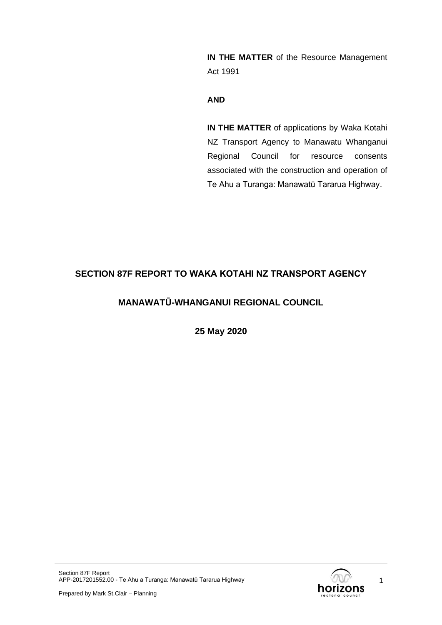**IN THE MATTER** of the Resource Management Act 1991

### **AND**

**IN THE MATTER** of applications by Waka Kotahi NZ Transport Agency to Manawatu Whanganui Regional Council for resource consents associated with the construction and operation of Te Ahu a Turanga: Manawatū Tararua Highway.

# **SECTION 87F REPORT TO WAKA KOTAHI NZ TRANSPORT AGENCY**

# **MANAWATŪ-WHANGANUI REGIONAL COUNCIL**

**25 May 2020**

1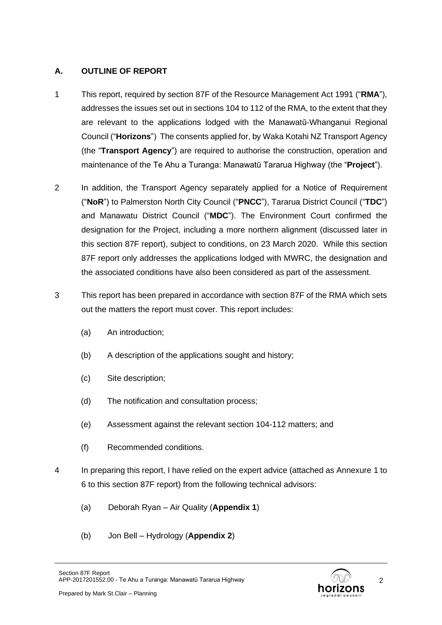## **A. OUTLINE OF REPORT**

- 1 This report, required by section 87F of the Resource Management Act 1991 ("**RMA**"), addresses the issues set out in sections 104 to 112 of the RMA, to the extent that they are relevant to the applications lodged with the Manawatū-Whanganui Regional Council ("**Horizons**") The consents applied for, by Waka Kotahi NZ Transport Agency (the "**Transport Agency**") are required to authorise the construction, operation and maintenance of the Te Ahu a Turanga: Manawatū Tararua Highway (the "**Project**").
- 2 In addition, the Transport Agency separately applied for a Notice of Requirement ("**NoR**") to Palmerston North City Council ("**PNCC**"), Tararua District Council ("**TDC**") and Manawatu District Council ("**MDC**"). The Environment Court confirmed the designation for the Project, including a more northern alignment (discussed later in this section 87F report), subject to conditions, on 23 March 2020. While this section 87F report only addresses the applications lodged with MWRC, the designation and the associated conditions have also been considered as part of the assessment.
- 3 This report has been prepared in accordance with section 87F of the RMA which sets out the matters the report must cover. This report includes:
	- (a) An introduction;
	- (b) A description of the applications sought and history;
	- (c) Site description;
	- (d) The notification and consultation process;
	- (e) Assessment against the relevant section 104-112 matters; and
	- (f) Recommended conditions.
- 4 In preparing this report, I have relied on the expert advice (attached as Annexure 1 to 6 to this section 87F report) from the following technical advisors:
	- (a) Deborah Ryan Air Quality (**Appendix 1**)
	- (b) Jon Bell Hydrology (**Appendix 2**)

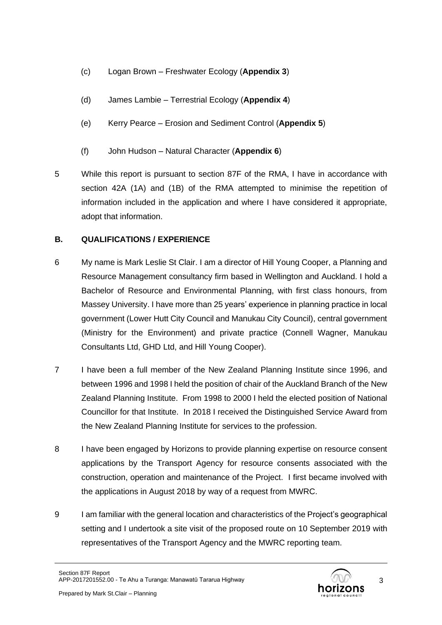- (c) Logan Brown Freshwater Ecology (**Appendix 3**)
- (d) James Lambie Terrestrial Ecology (**Appendix 4**)
- (e) Kerry Pearce Erosion and Sediment Control (**Appendix 5**)
- (f) John Hudson Natural Character (**Appendix 6**)
- 5 While this report is pursuant to section 87F of the RMA, I have in accordance with section 42A (1A) and (1B) of the RMA attempted to minimise the repetition of information included in the application and where I have considered it appropriate, adopt that information.

## **B. QUALIFICATIONS / EXPERIENCE**

- 6 My name is Mark Leslie St Clair. I am a director of Hill Young Cooper, a Planning and Resource Management consultancy firm based in Wellington and Auckland. I hold a Bachelor of Resource and Environmental Planning, with first class honours, from Massey University. I have more than 25 years' experience in planning practice in local government (Lower Hutt City Council and Manukau City Council), central government (Ministry for the Environment) and private practice (Connell Wagner, Manukau Consultants Ltd, GHD Ltd, and Hill Young Cooper).
- 7 I have been a full member of the New Zealand Planning Institute since 1996, and between 1996 and 1998 I held the position of chair of the Auckland Branch of the New Zealand Planning Institute. From 1998 to 2000 I held the elected position of National Councillor for that Institute. In 2018 I received the Distinguished Service Award from the New Zealand Planning Institute for services to the profession.
- 8 I have been engaged by Horizons to provide planning expertise on resource consent applications by the Transport Agency for resource consents associated with the construction, operation and maintenance of the Project. I first became involved with the applications in August 2018 by way of a request from MWRC.
- 9 I am familiar with the general location and characteristics of the Project's geographical setting and I undertook a site visit of the proposed route on 10 September 2019 with representatives of the Transport Agency and the MWRC reporting team.

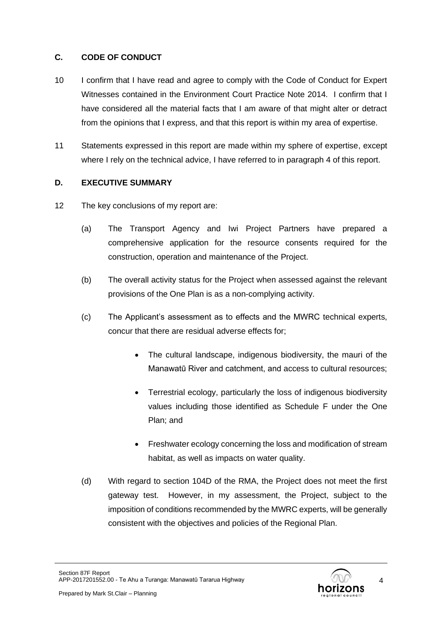## **C. CODE OF CONDUCT**

- 10 I confirm that I have read and agree to comply with the Code of Conduct for Expert Witnesses contained in the Environment Court Practice Note 2014. I confirm that I have considered all the material facts that I am aware of that might alter or detract from the opinions that I express, and that this report is within my area of expertise.
- 11 Statements expressed in this report are made within my sphere of expertise, except where I rely on the technical advice, I have referred to in paragraph 4 of this report.

## **D. EXECUTIVE SUMMARY**

- 12 The key conclusions of my report are:
	- (a) The Transport Agency and Iwi Project Partners have prepared a comprehensive application for the resource consents required for the construction, operation and maintenance of the Project.
	- (b) The overall activity status for the Project when assessed against the relevant provisions of the One Plan is as a non-complying activity.
	- (c) The Applicant's assessment as to effects and the MWRC technical experts, concur that there are residual adverse effects for;
		- The cultural landscape, indigenous biodiversity, the mauri of the Manawatū River and catchment, and access to cultural resources;
		- Terrestrial ecology, particularly the loss of indigenous biodiversity values including those identified as Schedule F under the One Plan; and
		- Freshwater ecology concerning the loss and modification of stream habitat, as well as impacts on water quality.
	- (d) With regard to section 104D of the RMA, the Project does not meet the first gateway test. However, in my assessment, the Project, subject to the imposition of conditions recommended by the MWRC experts, will be generally consistent with the objectives and policies of the Regional Plan.

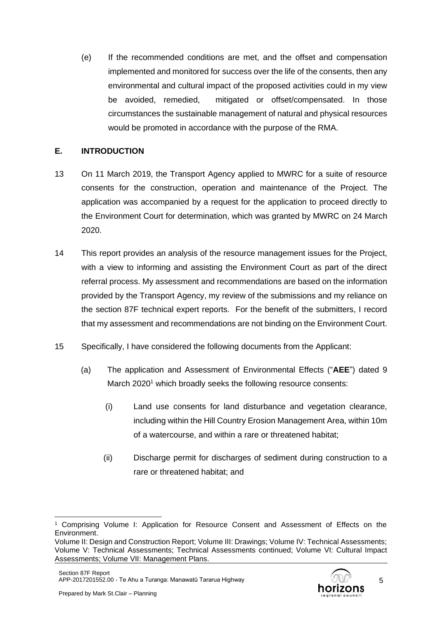(e) If the recommended conditions are met, and the offset and compensation implemented and monitored for success over the life of the consents, then any environmental and cultural impact of the proposed activities could in my view be avoided, remedied, mitigated or offset/compensated. In those circumstances the sustainable management of natural and physical resources would be promoted in accordance with the purpose of the RMA.

### **E. INTRODUCTION**

- 13 On 11 March 2019, the Transport Agency applied to MWRC for a suite of resource consents for the construction, operation and maintenance of the Project. The application was accompanied by a request for the application to proceed directly to the Environment Court for determination, which was granted by MWRC on 24 March 2020.
- 14 This report provides an analysis of the resource management issues for the Project, with a view to informing and assisting the Environment Court as part of the direct referral process. My assessment and recommendations are based on the information provided by the Transport Agency, my review of the submissions and my reliance on the section 87F technical expert reports. For the benefit of the submitters, I record that my assessment and recommendations are not binding on the Environment Court.
- 15 Specifically, I have considered the following documents from the Applicant:
	- (a) The application and Assessment of Environmental Effects ("**AEE**") dated 9 March 2020<sup>1</sup> which broadly seeks the following resource consents:
		- (i) Land use consents for land disturbance and vegetation clearance, including within the Hill Country Erosion Management Area, within 10m of a watercourse, and within a rare or threatened habitat;
		- (ii) Discharge permit for discharges of sediment during construction to a rare or threatened habitat; and

5

<sup>1</sup> Comprising Volume I: Application for Resource Consent and Assessment of Effects on the Environment.

Volume II: Design and Construction Report; Volume III: Drawings; Volume IV: Technical Assessments; Volume V: Technical Assessments; Technical Assessments continued; Volume VI: Cultural Impact Assessments; Volume VII: Management Plans.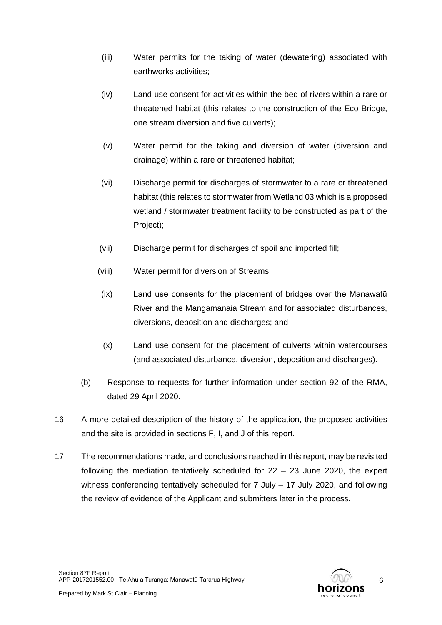- (iii) Water permits for the taking of water (dewatering) associated with earthworks activities;
- (iv) Land use consent for activities within the bed of rivers within a rare or threatened habitat (this relates to the construction of the Eco Bridge, one stream diversion and five culverts);
- (v) Water permit for the taking and diversion of water (diversion and drainage) within a rare or threatened habitat;
- (vi) Discharge permit for discharges of stormwater to a rare or threatened habitat (this relates to stormwater from Wetland 03 which is a proposed wetland / stormwater treatment facility to be constructed as part of the Project);
- (vii) Discharge permit for discharges of spoil and imported fill;
- (viii) Water permit for diversion of Streams;
- (ix) Land use consents for the placement of bridges over the Manawatū River and the Mangamanaia Stream and for associated disturbances, diversions, deposition and discharges; and
- (x) Land use consent for the placement of culverts within watercourses (and associated disturbance, diversion, deposition and discharges).
- (b) Response to requests for further information under section 92 of the RMA, dated 29 April 2020.
- 16 A more detailed description of the history of the application, the proposed activities and the site is provided in sections F, I, and J of this report.
- 17 The recommendations made, and conclusions reached in this report, may be revisited following the mediation tentatively scheduled for 22 – 23 June 2020, the expert witness conferencing tentatively scheduled for 7 July – 17 July 2020, and following the review of evidence of the Applicant and submitters later in the process.



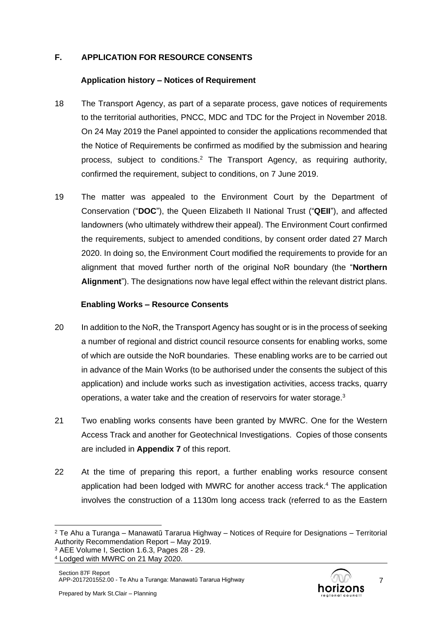## **F. APPLICATION FOR RESOURCE CONSENTS**

### **Application history – Notices of Requirement**

- 18 The Transport Agency, as part of a separate process, gave notices of requirements to the territorial authorities, PNCC, MDC and TDC for the Project in November 2018. On 24 May 2019 the Panel appointed to consider the applications recommended that the Notice of Requirements be confirmed as modified by the submission and hearing process, subject to conditions. <sup>2</sup> The Transport Agency, as requiring authority, confirmed the requirement, subject to conditions, on 7 June 2019.
- 19 The matter was appealed to the Environment Court by the Department of Conservation ("**DOC**"), the Queen Elizabeth II National Trust ("**QEII**"), and affected landowners (who ultimately withdrew their appeal). The Environment Court confirmed the requirements, subject to amended conditions, by consent order dated 27 March 2020. In doing so, the Environment Court modified the requirements to provide for an alignment that moved further north of the original NoR boundary (the "**Northern Alignment**"). The designations now have legal effect within the relevant district plans.

### **Enabling Works – Resource Consents**

- 20 In addition to the NoR, the Transport Agency has sought or is in the process of seeking a number of regional and district council resource consents for enabling works, some of which are outside the NoR boundaries. These enabling works are to be carried out in advance of the Main Works (to be authorised under the consents the subject of this application) and include works such as investigation activities, access tracks, quarry operations, a water take and the creation of reservoirs for water storage. $3$
- 21 Two enabling works consents have been granted by MWRC. One for the Western Access Track and another for Geotechnical Investigations. Copies of those consents are included in **Appendix 7** of this report.
- 22 At the time of preparing this report, a further enabling works resource consent application had been lodged with MWRC for another access track. <sup>4</sup> The application involves the construction of a 1130m long access track (referred to as the Eastern



 $2$  Te Ahu a Turanga – Manawatū Tararua Highway – Notices of Require for Designations – Territorial Authority Recommendation Report – May 2019.

 $3$  AEE Volume I, Section 1.6.3, Pages 28 - 29.

<sup>4</sup> Lodged with MWRC on 21 May 2020.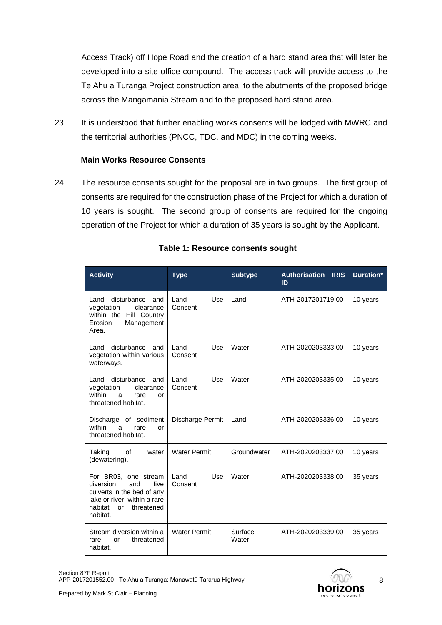Access Track) off Hope Road and the creation of a hard stand area that will later be developed into a site office compound. The access track will provide access to the Te Ahu a Turanga Project construction area, to the abutments of the proposed bridge across the Mangamania Stream and to the proposed hard stand area.

23 It is understood that further enabling works consents will be lodged with MWRC and the territorial authorities (PNCC, TDC, and MDC) in the coming weeks.

### **Main Works Resource Consents**

24 The resource consents sought for the proposal are in two groups. The first group of consents are required for the construction phase of the Project for which a duration of 10 years is sought. The second group of consents are required for the ongoing operation of the Project for which a duration of 35 years is sought by the Applicant.

| <b>Activity</b>                                                                                                                                        | <b>Type</b>            | <b>Subtype</b>   | <b>Authorisation IRIS</b><br>ID | Duration* |
|--------------------------------------------------------------------------------------------------------------------------------------------------------|------------------------|------------------|---------------------------------|-----------|
| disturbance<br>Land<br>and<br>clearance<br>vegetation<br>within the Hill Country<br>Erosion<br>Management<br>Area.                                     | Land<br>Use<br>Consent | Land             | ATH-2017201719.00               | 10 years  |
| disturbance<br>Land<br>and<br>vegetation within various<br>waterways.                                                                                  | Use<br>Land<br>Consent | Water            | ATH-2020203333.00               | 10 years  |
| Land disturbance<br>and<br>vegetation<br>clearance<br>within<br>rare<br>a<br>or<br>threatened habitat.                                                 | Land<br>Use<br>Consent | Water            | ATH-2020203335.00               | 10 years  |
| Discharge of sediment<br>within<br>a<br>rare<br>or<br>threatened habitat.                                                                              | Discharge Permit       | Land             | ATH-2020203336.00               | 10 years  |
| of<br>Taking<br>water<br>(dewatering).                                                                                                                 | <b>Water Permit</b>    | Groundwater      | ATH-2020203337.00               | 10 years  |
| For BR03, one stream<br>five<br>diversion<br>and<br>culverts in the bed of any<br>lake or river, within a rare<br>habitat or<br>threatened<br>habitat. | Use<br>Land<br>Consent | Water            | ATH-2020203338.00               | 35 years  |
| Stream diversion within a<br>threatened<br>rare<br>or<br>habitat.                                                                                      | <b>Water Permit</b>    | Surface<br>Water | ATH-2020203339.00               | 35 years  |

### **Table 1: Resource consents sought**

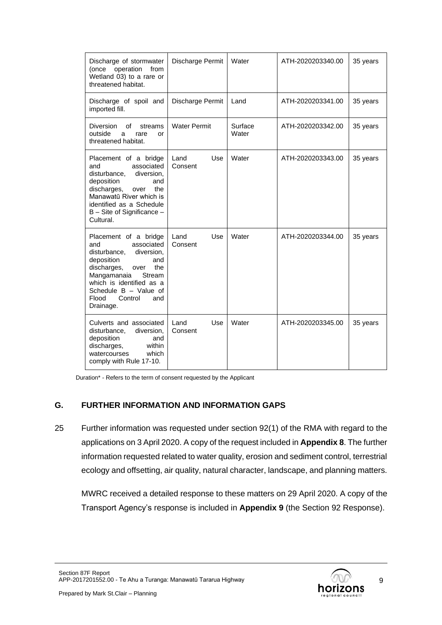| Discharge of stormwater<br>operation<br>from<br>(once<br>Wetland 03) to a rare or<br>threatened habitat.                                                                                                                                          | Discharge Permit       | Water            | ATH-2020203340.00 | 35 years |
|---------------------------------------------------------------------------------------------------------------------------------------------------------------------------------------------------------------------------------------------------|------------------------|------------------|-------------------|----------|
| Discharge of spoil and<br>imported fill.                                                                                                                                                                                                          | Discharge Permit       | Land             | ATH-2020203341.00 | 35 years |
| Diversion<br>οf<br>streams<br>outside<br>rare<br>a<br>or<br>threatened habitat.                                                                                                                                                                   | <b>Water Permit</b>    | Surface<br>Water | ATH-2020203342.00 | 35 years |
| Placement of a bridge<br>associated<br>and<br>disturbance.<br>diversion.<br>deposition<br>and<br>discharges,<br>the<br>over<br>Manawatū River which is<br>identified as a Schedule<br>B - Site of Significance -<br>Cultural.                     | Land<br>Use<br>Consent | Water            | ATH-2020203343.00 | 35 years |
| Placement of a bridge<br>associated<br>and<br>diversion,<br>disturbance,<br>deposition<br>and<br>discharges,<br>the<br>over<br>Mangamanaia<br>Stream<br>which is identified as a<br>Schedule B - Value of<br>Flood<br>Control<br>and<br>Drainage. | Use<br>Land<br>Consent | Water            | ATH-2020203344.00 | 35 years |
| Culverts and associated<br>disturbance,<br>diversion,<br>deposition<br>and<br>discharges,<br>within<br>watercourses<br>which<br>comply with Rule 17-10.                                                                                           | Use<br>Land<br>Consent | Water            | ATH-2020203345.00 | 35 years |

Duration\* - Refers to the term of consent requested by the Applicant

### **G. FURTHER INFORMATION AND INFORMATION GAPS**

25 Further information was requested under section 92(1) of the RMA with regard to the applications on 3 April 2020. A copy of the request included in **Appendix 8**. The further information requested related to water quality, erosion and sediment control, terrestrial ecology and offsetting, air quality, natural character, landscape, and planning matters.

MWRC received a detailed response to these matters on 29 April 2020. A copy of the Transport Agency's response is included in **Appendix 9** (the Section 92 Response).

Section 87F Report APP-2017201552.00 - Te Ahu a Turanga: Manawatū Tararua Highway

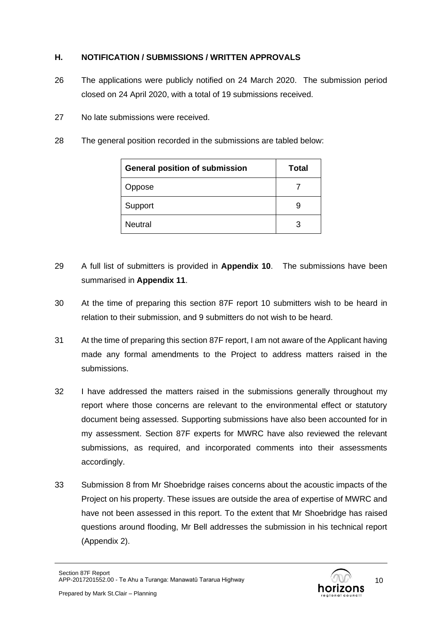## **H. NOTIFICATION / SUBMISSIONS / WRITTEN APPROVALS**

- 26 The applications were publicly notified on 24 March 2020. The submission period closed on 24 April 2020, with a total of 19 submissions received.
- 27 No late submissions were received.
- 28 The general position recorded in the submissions are tabled below:

| <b>General position of submission</b> | Total |
|---------------------------------------|-------|
| Oppose                                |       |
| Support                               | 9     |
| <b>Neutral</b>                        | З     |

- 29 A full list of submitters is provided in **Appendix 10**. The submissions have been summarised in **Appendix 11**.
- 30 At the time of preparing this section 87F report 10 submitters wish to be heard in relation to their submission, and 9 submitters do not wish to be heard.
- 31 At the time of preparing this section 87F report, I am not aware of the Applicant having made any formal amendments to the Project to address matters raised in the submissions.
- 32 I have addressed the matters raised in the submissions generally throughout my report where those concerns are relevant to the environmental effect or statutory document being assessed. Supporting submissions have also been accounted for in my assessment. Section 87F experts for MWRC have also reviewed the relevant submissions, as required, and incorporated comments into their assessments accordingly.
- 33 Submission 8 from Mr Shoebridge raises concerns about the acoustic impacts of the Project on his property. These issues are outside the area of expertise of MWRC and have not been assessed in this report. To the extent that Mr Shoebridge has raised questions around flooding, Mr Bell addresses the submission in his technical report (Appendix 2).

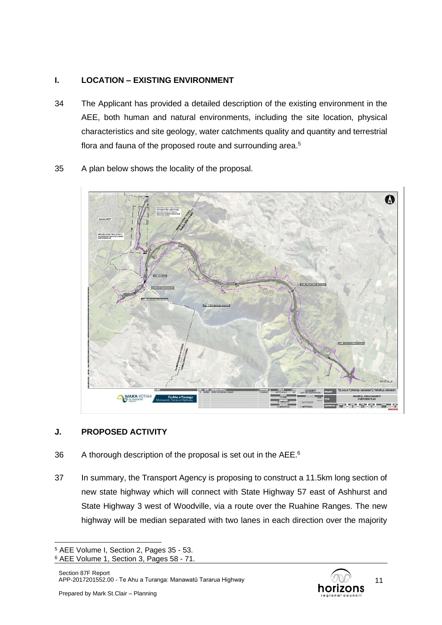## **I. LOCATION – EXISTING ENVIRONMENT**

- 34 The Applicant has provided a detailed description of the existing environment in the AEE, both human and natural environments, including the site location, physical characteristics and site geology, water catchments quality and quantity and terrestrial flora and fauna of the proposed route and surrounding area.<sup>5</sup>
	- A WAKA KOTAHI Te Ahu a Tur
- 35 A plan below shows the locality of the proposal.

### **J. PROPOSED ACTIVITY**

- 36 A thorough description of the proposal is set out in the AEE.<sup>6</sup>
- 37 In summary, the Transport Agency is proposing to construct a 11.5km long section of new state highway which will connect with State Highway 57 east of Ashhurst and State Highway 3 west of Woodville, via a route over the Ruahine Ranges. The new highway will be median separated with two lanes in each direction over the majority



<sup>5</sup> AEE Volume I, Section 2, Pages 35 - 53.

<sup>6</sup> AEE Volume 1, Section 3, Pages 58 - 71.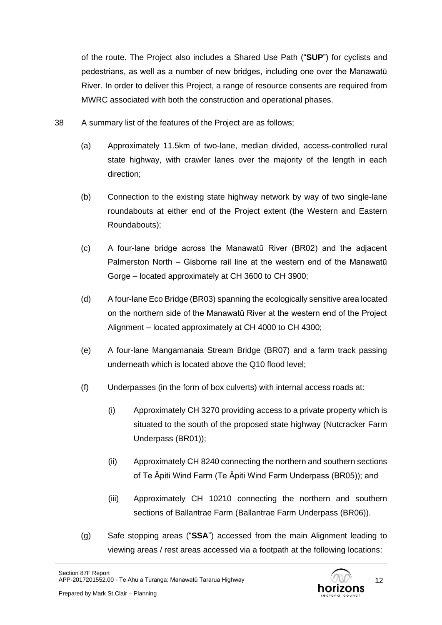of the route. The Project also includes a Shared Use Path ("**SUP**") for cyclists and pedestrians, as well as a number of new bridges, including one over the Manawatū River. In order to deliver this Project, a range of resource consents are required from MWRC associated with both the construction and operational phases.

- 38 A summary list of the features of the Project are as follows;
	- (a) Approximately 11.5km of two-lane, median divided, access-controlled rural state highway, with crawler lanes over the majority of the length in each direction;
	- (b) Connection to the existing state highway network by way of two single-lane roundabouts at either end of the Project extent (the Western and Eastern Roundabouts);
	- (c) A four-lane bridge across the Manawatū River (BR02) and the adjacent Palmerston North – Gisborne rail line at the western end of the Manawatū Gorge – located approximately at CH 3600 to CH 3900;
	- (d) A four-lane Eco Bridge (BR03) spanning the ecologically sensitive area located on the northern side of the Manawatū River at the western end of the Project Alignment – located approximately at CH 4000 to CH 4300;
	- (e) A four-lane Mangamanaia Stream Bridge (BR07) and a farm track passing underneath which is located above the Q10 flood level;
	- (f) Underpasses (in the form of box culverts) with internal access roads at:
		- (i) Approximately CH 3270 providing access to a private property which is situated to the south of the proposed state highway (Nutcracker Farm Underpass (BR01));
		- (ii) Approximately CH 8240 connecting the northern and southern sections of Te Āpiti Wind Farm (Te Āpiti Wind Farm Underpass (BR05)); and
		- (iii) Approximately CH 10210 connecting the northern and southern sections of Ballantrae Farm (Ballantrae Farm Underpass (BR06)).
	- (g) Safe stopping areas ("**SSA**") accessed from the main Alignment leading to viewing areas / rest areas accessed via a footpath at the following locations:

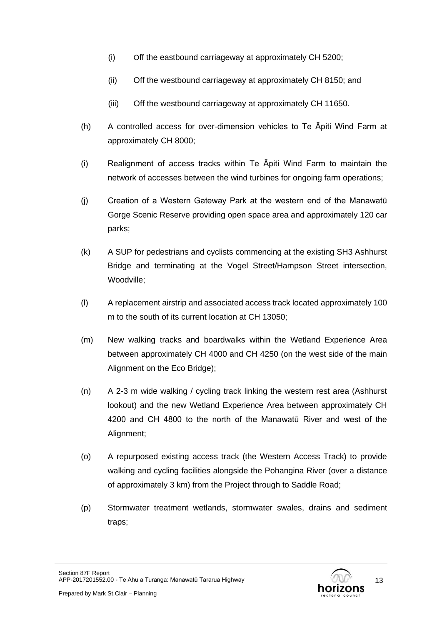- (i) Off the eastbound carriageway at approximately CH 5200;
- (ii) Off the westbound carriageway at approximately CH 8150; and
- (iii) Off the westbound carriageway at approximately CH 11650.
- (h) A controlled access for over-dimension vehicles to Te Āpiti Wind Farm at approximately CH 8000;
- (i) Realignment of access tracks within Te Āpiti Wind Farm to maintain the network of accesses between the wind turbines for ongoing farm operations;
- (j) Creation of a Western Gateway Park at the western end of the Manawatū Gorge Scenic Reserve providing open space area and approximately 120 car parks;
- (k) A SUP for pedestrians and cyclists commencing at the existing SH3 Ashhurst Bridge and terminating at the Vogel Street/Hampson Street intersection, Woodville;
- (l) A replacement airstrip and associated access track located approximately 100 m to the south of its current location at CH 13050;
- (m) New walking tracks and boardwalks within the Wetland Experience Area between approximately CH 4000 and CH 4250 (on the west side of the main Alignment on the Eco Bridge);
- (n) A 2-3 m wide walking / cycling track linking the western rest area (Ashhurst lookout) and the new Wetland Experience Area between approximately CH 4200 and CH 4800 to the north of the Manawatū River and west of the Alignment;
- (o) A repurposed existing access track (the Western Access Track) to provide walking and cycling facilities alongside the Pohangina River (over a distance of approximately 3 km) from the Project through to Saddle Road;
- (p) Stormwater treatment wetlands, stormwater swales, drains and sediment traps;

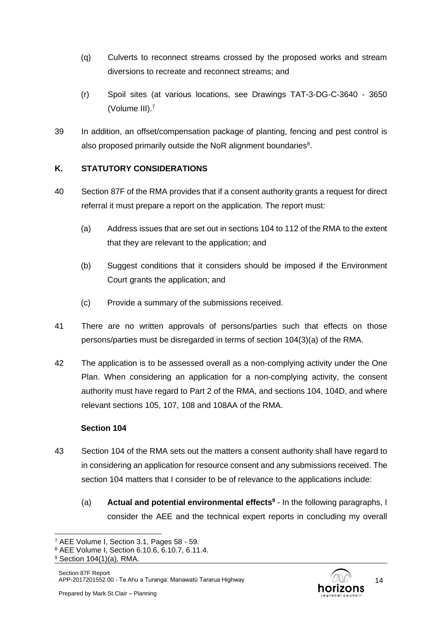- (q) Culverts to reconnect streams crossed by the proposed works and stream diversions to recreate and reconnect streams; and
- (r) Spoil sites (at various locations, see Drawings TAT-3-DG-C-3640 3650 (Volume III).<sup>7</sup>
- 39 In addition, an offset/compensation package of planting, fencing and pest control is also proposed primarily outside the NoR alignment boundaries $8$ .

## **K. STATUTORY CONSIDERATIONS**

- 40 Section 87F of the RMA provides that if a consent authority grants a request for direct referral it must prepare a report on the application. The report must:
	- (a) Address issues that are set out in sections 104 to 112 of the RMA to the extent that they are relevant to the application; and
	- (b) Suggest conditions that it considers should be imposed if the Environment Court grants the application; and
	- (c) Provide a summary of the submissions received.
- 41 There are no written approvals of persons/parties such that effects on those persons/parties must be disregarded in terms of section 104(3)(a) of the RMA.
- 42 The application is to be assessed overall as a non-complying activity under the One Plan. When considering an application for a non-complying activity, the consent authority must have regard to Part 2 of the RMA, and sections 104, 104D, and where relevant sections 105, 107, 108 and 108AA of the RMA.

## **Section 104**

- 43 Section 104 of the RMA sets out the matters a consent authority shall have regard to in considering an application for resource consent and any submissions received. The section 104 matters that I consider to be of relevance to the applications include:
	- (a) **Actual and potential environmental effects<sup>9</sup>** In the following paragraphs, I consider the AEE and the technical expert reports in concluding my overall



<sup>7</sup> AEE Volume I, Section 3.1, Pages 58 - 59.

<sup>8</sup> AEE Volume I, Section 6.10.6, 6.10.7, 6.11.4.

<sup>9</sup> Section 104(1)(a), RMA.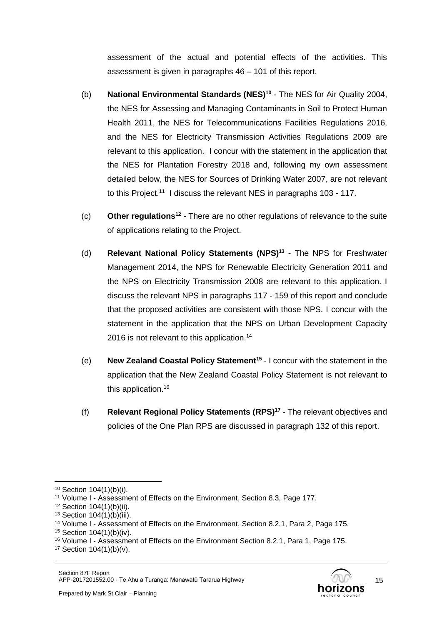assessment of the actual and potential effects of the activities. This assessment is given in paragraphs 46 – 101 of this report.

- (b) **National Environmental Standards (NES)<sup>10</sup>** The NES for Air Quality 2004, the NES for Assessing and Managing Contaminants in Soil to Protect Human Health 2011, the NES for Telecommunications Facilities Regulations 2016, and the NES for Electricity Transmission Activities Regulations 2009 are relevant to this application. I concur with the statement in the application that the NES for Plantation Forestry 2018 and, following my own assessment detailed below, the NES for Sources of Drinking Water 2007, are not relevant to this Project.<sup>11</sup> I discuss the relevant NES in paragraphs 103 - 117.
- (c) **Other regulations<sup>12</sup>** There are no other regulations of relevance to the suite of applications relating to the Project.
- (d) **Relevant National Policy Statements (NPS)<sup>13</sup>** The NPS for Freshwater Management 2014, the NPS for Renewable Electricity Generation 2011 and the NPS on Electricity Transmission 2008 are relevant to this application. I discuss the relevant NPS in paragraphs 117 - 159 of this report and conclude that the proposed activities are consistent with those NPS. I concur with the statement in the application that the NPS on Urban Development Capacity 2016 is not relevant to this application.<sup>14</sup>
- (e) **New Zealand Coastal Policy Statement<sup>15</sup>** I concur with the statement in the application that the New Zealand Coastal Policy Statement is not relevant to this application.<sup>16</sup>
- (f) **Relevant Regional Policy Statements (RPS)<sup>17</sup>** The relevant objectives and policies of the One Plan RPS are discussed in paragraph 132 of this report.

<sup>10</sup> Section 104(1)(b)(i).

<sup>11</sup> Volume I - Assessment of Effects on the Environment, Section 8.3, Page 177.

<sup>12</sup> Section 104(1)(b)(ii).

<sup>13</sup> Section 104(1)(b)(iii).

<sup>&</sup>lt;sup>14</sup> Volume I - Assessment of Effects on the Environment, Section 8.2.1, Para 2, Page 175.

<sup>15</sup> Section 104(1)(b)(iv).

<sup>&</sup>lt;sup>16</sup> Volume I - Assessment of Effects on the Environment Section 8.2.1, Para 1, Page 175.

 $17$  Section  $104(1)(b)(v)$ .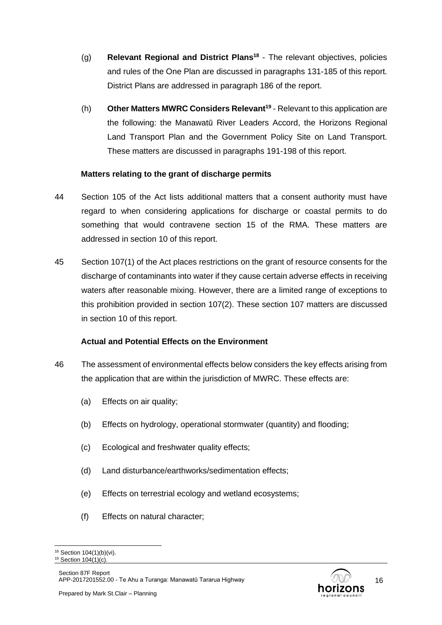- (g) **Relevant Regional and District Plans<sup>18</sup>** The relevant objectives, policies and rules of the One Plan are discussed in paragraphs 131-185 of this report. District Plans are addressed in paragraph 186 of the report.
- (h) **Other Matters MWRC Considers Relevant<sup>19</sup>** Relevant to this application are the following: the Manawatū River Leaders Accord, the Horizons Regional Land Transport Plan and the Government Policy Site on Land Transport. These matters are discussed in paragraphs 191-198 of this report.

### **Matters relating to the grant of discharge permits**

- 44 Section 105 of the Act lists additional matters that a consent authority must have regard to when considering applications for discharge or coastal permits to do something that would contravene section 15 of the RMA. These matters are addressed in section 10 of this report.
- 45 Section 107(1) of the Act places restrictions on the grant of resource consents for the discharge of contaminants into water if they cause certain adverse effects in receiving waters after reasonable mixing. However, there are a limited range of exceptions to this prohibition provided in section 107(2). These section 107 matters are discussed in section 10 of this report.

### **Actual and Potential Effects on the Environment**

- 46 The assessment of environmental effects below considers the key effects arising from the application that are within the jurisdiction of MWRC. These effects are:
	- (a) Effects on air quality;
	- (b) Effects on hydrology, operational stormwater (quantity) and flooding;
	- (c) Ecological and freshwater quality effects;
	- (d) Land disturbance/earthworks/sedimentation effects;
	- (e) Effects on terrestrial ecology and wetland ecosystems;
	- (f) Effects on natural character;

<sup>&</sup>lt;sup>18</sup> Section 104(1)(b)(vi).  $19$  Section  $104(1)(c)$ .

Section 87F Report APP-2017201552.00 - Te Ahu a Turanga: Manawatū Tararua Highway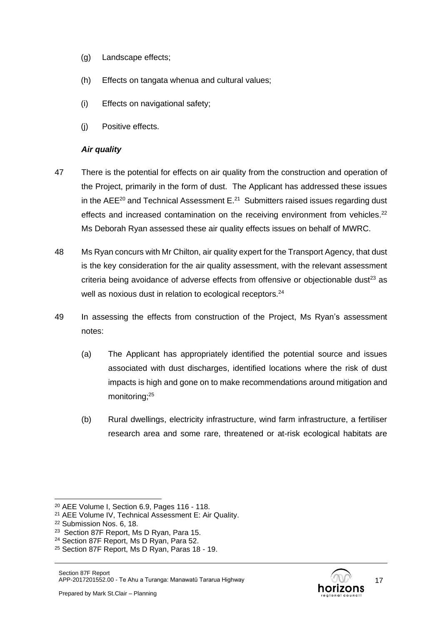- (g) Landscape effects;
- (h) Effects on tangata whenua and cultural values;
- (i) Effects on navigational safety;
- (j) Positive effects.

#### *Air quality*

- 47 There is the potential for effects on air quality from the construction and operation of the Project, primarily in the form of dust. The Applicant has addressed these issues in the AEE<sup>20</sup> and Technical Assessment E. $^{21}$  Submitters raised issues regarding dust effects and increased contamination on the receiving environment from vehicles. $^{22}$ Ms Deborah Ryan assessed these air quality effects issues on behalf of MWRC.
- 48 Ms Ryan concurs with Mr Chilton, air quality expert for the Transport Agency, that dust is the key consideration for the air quality assessment, with the relevant assessment criteria being avoidance of adverse effects from offensive or objectionable dust $23$  as well as noxious dust in relation to ecological receptors.<sup>24</sup>
- 49 In assessing the effects from construction of the Project, Ms Ryan's assessment notes:
	- (a) The Applicant has appropriately identified the potential source and issues associated with dust discharges, identified locations where the risk of dust impacts is high and gone on to make recommendations around mitigation and monitoring;<sup>25</sup>
	- (b) Rural dwellings, electricity infrastructure, wind farm infrastructure, a fertiliser research area and some rare, threatened or at-risk ecological habitats are

<sup>20</sup> AEE Volume I, Section 6.9, Pages 116 - 118.

<sup>21</sup> AEE Volume IV, Technical Assessment E: Air Quality.

<sup>22</sup> Submission Nos. 6, 18.

<sup>&</sup>lt;sup>23</sup> Section 87F Report, Ms D Ryan, Para 15.

<sup>24</sup> Section 87F Report, Ms D Ryan, Para 52.

<sup>25</sup> Section 87F Report, Ms D Ryan, Paras 18 - 19.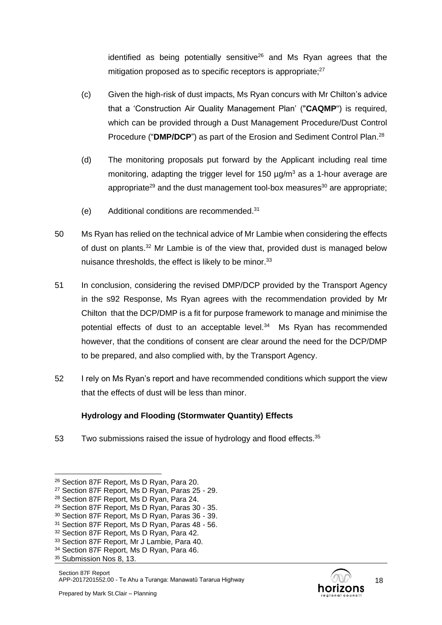identified as being potentially sensitive<sup>26</sup> and Ms Ryan agrees that the mitigation proposed as to specific receptors is appropriate;<sup>27</sup>

- (c) Given the high-risk of dust impacts, Ms Ryan concurs with Mr Chilton's advice that a 'Construction Air Quality Management Plan' ("**CAQMP**") is required, which can be provided through a Dust Management Procedure/Dust Control Procedure ("**DMP/DCP**") as part of the Erosion and Sediment Control Plan. 28
- (d) The monitoring proposals put forward by the Applicant including real time monitoring, adapting the trigger level for 150  $\mu q/m^3$  as a 1-hour average are appropriate<sup>29</sup> and the dust management tool-box measures<sup>30</sup> are appropriate;
- (e) Additional conditions are recommended. 31
- 50 Ms Ryan has relied on the technical advice of Mr Lambie when considering the effects of dust on plants. $32$  Mr Lambie is of the view that, provided dust is managed below nuisance thresholds, the effect is likely to be minor.<sup>33</sup>
- 51 In conclusion, considering the revised DMP/DCP provided by the Transport Agency in the s92 Response, Ms Ryan agrees with the recommendation provided by Mr Chilton that the DCP/DMP is a fit for purpose framework to manage and minimise the potential effects of dust to an acceptable level.<sup>34</sup> Ms Ryan has recommended however, that the conditions of consent are clear around the need for the DCP/DMP to be prepared, and also complied with, by the Transport Agency.
- 52 I rely on Ms Ryan's report and have recommended conditions which support the view that the effects of dust will be less than minor.

### **Hydrology and Flooding (Stormwater Quantity) Effects**

53 Two submissions raised the issue of hydrology and flood effects. $35$ 

<sup>26</sup> Section 87F Report, Ms D Ryan, Para 20.

<sup>27</sup> Section 87F Report, Ms D Ryan, Paras 25 - 29.

<sup>28</sup> Section 87F Report, Ms D Ryan, Para 24.

<sup>29</sup> Section 87F Report, Ms D Ryan, Paras 30 - 35.

<sup>30</sup> Section 87F Report, Ms D Ryan, Paras 36 - 39.

<sup>31</sup> Section 87F Report, Ms D Ryan, Paras 48 - 56.

<sup>&</sup>lt;sup>32</sup> Section 87F Report, Ms D Ryan, Para 42.

<sup>33</sup> Section 87F Report, Mr J Lambie, Para 40.

<sup>&</sup>lt;sup>34</sup> Section 87F Report, Ms D Ryan, Para 46.

<sup>&</sup>lt;sup>35</sup> Submission Nos 8, 13.

Section 87F Report APP-2017201552.00 - Te Ahu a Turanga: Manawatū Tararua Highway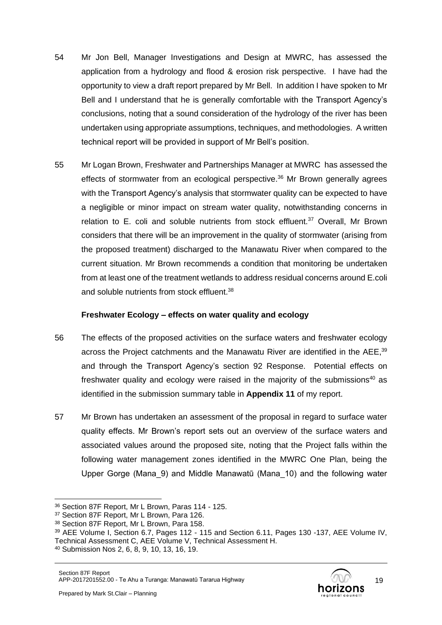- 54 Mr Jon Bell, Manager Investigations and Design at MWRC, has assessed the application from a hydrology and flood & erosion risk perspective. I have had the opportunity to view a draft report prepared by Mr Bell. In addition I have spoken to Mr Bell and I understand that he is generally comfortable with the Transport Agency's conclusions, noting that a sound consideration of the hydrology of the river has been undertaken using appropriate assumptions, techniques, and methodologies. A written technical report will be provided in support of Mr Bell's position.
- 55 Mr Logan Brown, Freshwater and Partnerships Manager at MWRC has assessed the effects of stormwater from an ecological perspective.<sup>36</sup> Mr Brown generally agrees with the Transport Agency's analysis that stormwater quality can be expected to have a negligible or minor impact on stream water quality, notwithstanding concerns in relation to E. coli and soluble nutrients from stock effluent. $37$  Overall, Mr Brown considers that there will be an improvement in the quality of stormwater (arising from the proposed treatment) discharged to the Manawatu River when compared to the current situation. Mr Brown recommends a condition that monitoring be undertaken from at least one of the treatment wetlands to address residual concerns around E.coli and soluble nutrients from stock effluent.<sup>38</sup>

### **Freshwater Ecology – effects on water quality and ecology**

- 56 The effects of the proposed activities on the surface waters and freshwater ecology across the Project catchments and the Manawatu River are identified in the AEE,<sup>39</sup> and through the Transport Agency's section 92 Response. Potential effects on freshwater quality and ecology were raised in the majority of the submissions<sup>40</sup> as identified in the submission summary table in **Appendix 11** of my report.
- 57 Mr Brown has undertaken an assessment of the proposal in regard to surface water quality effects. Mr Brown's report sets out an overview of the surface waters and associated values around the proposed site, noting that the Project falls within the following water management zones identified in the MWRC One Plan, being the Upper Gorge (Mana\_9) and Middle Manawatū (Mana\_10) and the following water

<sup>36</sup> Section 87F Report, Mr L Brown, Paras 114 - 125.

<sup>37</sup> Section 87F Report, Mr L Brown, Para 126.

<sup>38</sup> Section 87F Report, Mr L Brown, Para 158.

<sup>39</sup> AEE Volume I, Section 6.7, Pages 112 - 115 and Section 6.11, Pages 130 -137, AEE Volume IV, Technical Assessment C, AEE Volume V, Technical Assessment H.

<sup>40</sup> Submission Nos 2, 6, 8, 9, 10, 13, 16, 19.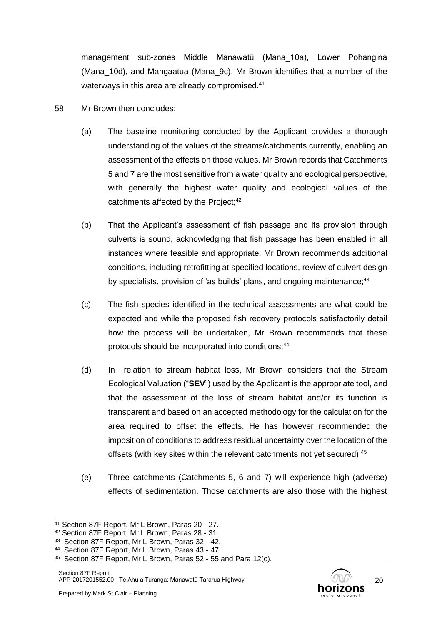management sub-zones Middle Manawatū (Mana\_10a), Lower Pohangina (Mana\_10d), and Mangaatua (Mana\_9c). Mr Brown identifies that a number of the waterways in this area are already compromised.<sup>41</sup>

- 58 Mr Brown then concludes:
	- (a) The baseline monitoring conducted by the Applicant provides a thorough understanding of the values of the streams/catchments currently, enabling an assessment of the effects on those values. Mr Brown records that Catchments 5 and 7 are the most sensitive from a water quality and ecological perspective, with generally the highest water quality and ecological values of the catchments affected by the Project;<sup>42</sup>
	- (b) That the Applicant's assessment of fish passage and its provision through culverts is sound, acknowledging that fish passage has been enabled in all instances where feasible and appropriate. Mr Brown recommends additional conditions, including retrofitting at specified locations, review of culvert design by specialists, provision of 'as builds' plans, and ongoing maintenance;<sup>43</sup>
	- (c) The fish species identified in the technical assessments are what could be expected and while the proposed fish recovery protocols satisfactorily detail how the process will be undertaken, Mr Brown recommends that these protocols should be incorporated into conditions;<sup>44</sup>
	- (d) In relation to stream habitat loss, Mr Brown considers that the Stream Ecological Valuation ("**SEV**") used by the Applicant is the appropriate tool, and that the assessment of the loss of stream habitat and/or its function is transparent and based on an accepted methodology for the calculation for the area required to offset the effects. He has however recommended the imposition of conditions to address residual uncertainty over the location of the offsets (with key sites within the relevant catchments not yet secured);<sup>45</sup>
	- (e) Three catchments (Catchments 5, 6 and 7) will experience high (adverse) effects of sedimentation. Those catchments are also those with the highest



<sup>41</sup> Section 87F Report, Mr L Brown, Paras 20 - 27.

<sup>42</sup> Section 87F Report, Mr L Brown, Paras 28 - 31.

<sup>43</sup> Section 87F Report, Mr L Brown, Paras 32 - 42.

<sup>44</sup> Section 87F Report, Mr L Brown, Paras 43 - 47.

<sup>45</sup> Section 87F Report, Mr L Brown, Paras 52 - 55 and Para 12(c).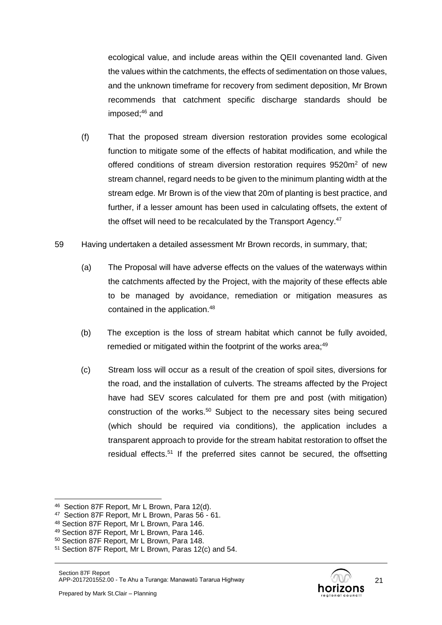ecological value, and include areas within the QEII covenanted land. Given the values within the catchments, the effects of sedimentation on those values, and the unknown timeframe for recovery from sediment deposition, Mr Brown recommends that catchment specific discharge standards should be imposed; <sup>46</sup> and

- (f) That the proposed stream diversion restoration provides some ecological function to mitigate some of the effects of habitat modification, and while the offered conditions of stream diversion restoration requires 9520m<sup>2</sup> of new stream channel, regard needs to be given to the minimum planting width at the stream edge. Mr Brown is of the view that 20m of planting is best practice, and further, if a lesser amount has been used in calculating offsets, the extent of the offset will need to be recalculated by the Transport Agency.<sup>47</sup>
- 59 Having undertaken a detailed assessment Mr Brown records, in summary, that;
	- (a) The Proposal will have adverse effects on the values of the waterways within the catchments affected by the Project, with the majority of these effects able to be managed by avoidance, remediation or mitigation measures as contained in the application.<sup>48</sup>
	- (b) The exception is the loss of stream habitat which cannot be fully avoided, remedied or mitigated within the footprint of the works area;<sup>49</sup>
	- (c) Stream loss will occur as a result of the creation of spoil sites, diversions for the road, and the installation of culverts. The streams affected by the Project have had SEV scores calculated for them pre and post (with mitigation) construction of the works. <sup>50</sup> Subject to the necessary sites being secured (which should be required via conditions), the application includes a transparent approach to provide for the stream habitat restoration to offset the residual effects.<sup>51</sup> If the preferred sites cannot be secured, the offsetting

<sup>46</sup> Section 87F Report, Mr L Brown, Para 12(d).

<sup>47</sup> Section 87F Report, Mr L Brown, Paras 56 - 61.

<sup>48</sup> Section 87F Report, Mr L Brown, Para 146.

<sup>49</sup> Section 87F Report, Mr L Brown, Para 146.

<sup>50</sup> Section 87F Report, Mr L Brown, Para 148.

<sup>51</sup> Section 87F Report, Mr L Brown, Paras 12(c) and 54.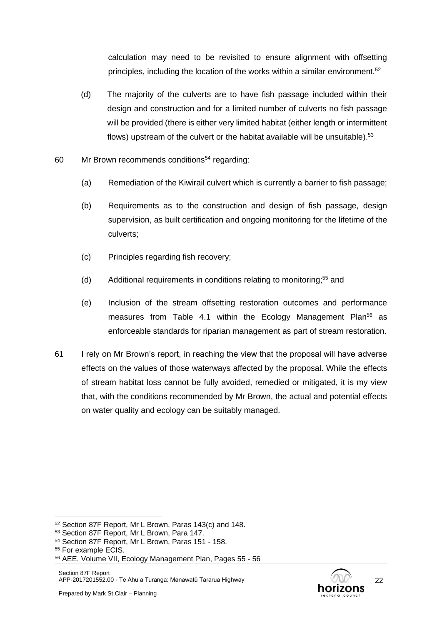calculation may need to be revisited to ensure alignment with offsetting principles, including the location of the works within a similar environment.<sup>52</sup>

- (d) The majority of the culverts are to have fish passage included within their design and construction and for a limited number of culverts no fish passage will be provided (there is either very limited habitat (either length or intermittent flows) upstream of the culvert or the habitat available will be unsuitable).<sup>53</sup>
- $60$  Mr Brown recommends conditions<sup>54</sup> regarding:
	- (a) Remediation of the Kiwirail culvert which is currently a barrier to fish passage;
	- (b) Requirements as to the construction and design of fish passage, design supervision, as built certification and ongoing monitoring for the lifetime of the culverts;
	- (c) Principles regarding fish recovery;
	- (d) Additional requirements in conditions relating to monitoring;<sup>55</sup> and
	- (e) Inclusion of the stream offsetting restoration outcomes and performance measures from Table 4.1 within the Ecology Management Plan<sup>56</sup> as enforceable standards for riparian management as part of stream restoration.
- 61 I rely on Mr Brown's report, in reaching the view that the proposal will have adverse effects on the values of those waterways affected by the proposal. While the effects of stream habitat loss cannot be fully avoided, remedied or mitigated, it is my view that, with the conditions recommended by Mr Brown, the actual and potential effects on water quality and ecology can be suitably managed.



<sup>52</sup> Section 87F Report, Mr L Brown, Paras 143(c) and 148.

<sup>53</sup> Section 87F Report, Mr L Brown, Para 147.

<sup>54</sup> Section 87F Report, Mr L Brown, Paras 151 - 158.

<sup>55</sup> For example ECIS.

<sup>56</sup> AEE, Volume VII, Ecology Management Plan, Pages 55 - 56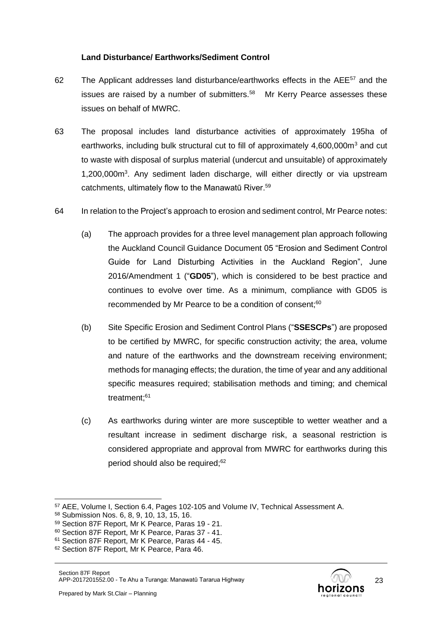### **Land Disturbance/ Earthworks/Sediment Control**

- 62 The Applicant addresses land disturbance/earthworks effects in the AEE<sup>57</sup> and the issues are raised by a number of submitters.<sup>58</sup> Mr Kerry Pearce assesses these issues on behalf of MWRC.
- 63 The proposal includes land disturbance activities of approximately 195ha of earthworks, including bulk structural cut to fill of approximately  $4,600,000m<sup>3</sup>$  and cut to waste with disposal of surplus material (undercut and unsuitable) of approximately 1,200,000m<sup>3</sup>. Any sediment laden discharge, will either directly or via upstream catchments, ultimately flow to the Manawatū River.<sup>59</sup>
- 64 In relation to the Project's approach to erosion and sediment control, Mr Pearce notes:
	- (a) The approach provides for a three level management plan approach following the Auckland Council Guidance Document 05 "Erosion and Sediment Control Guide for Land Disturbing Activities in the Auckland Region", June 2016/Amendment 1 ("**GD05**"), which is considered to be best practice and continues to evolve over time. As a minimum, compliance with GD05 is recommended by Mr Pearce to be a condition of consent;<sup>60</sup>
	- (b) Site Specific Erosion and Sediment Control Plans ("**SSESCPs**") are proposed to be certified by MWRC, for specific construction activity; the area, volume and nature of the earthworks and the downstream receiving environment; methods for managing effects; the duration, the time of year and any additional specific measures required; stabilisation methods and timing; and chemical treatment; 61
	- (c) As earthworks during winter are more susceptible to wetter weather and a resultant increase in sediment discharge risk, a seasonal restriction is considered appropriate and approval from MWRC for earthworks during this period should also be required;<sup>62</sup>

<sup>57</sup> AEE, Volume I, Section 6.4, Pages 102-105 and Volume IV, Technical Assessment A.

<sup>58</sup> Submission Nos. 6, 8, 9, 10, 13, 15, 16.

<sup>59</sup> Section 87F Report, Mr K Pearce, Paras 19 - 21.

<sup>60</sup> Section 87F Report, Mr K Pearce, Paras 37 - 41.

<sup>61</sup> Section 87F Report, Mr K Pearce, Paras 44 - 45.

<sup>62</sup> Section 87F Report, Mr K Pearce, Para 46.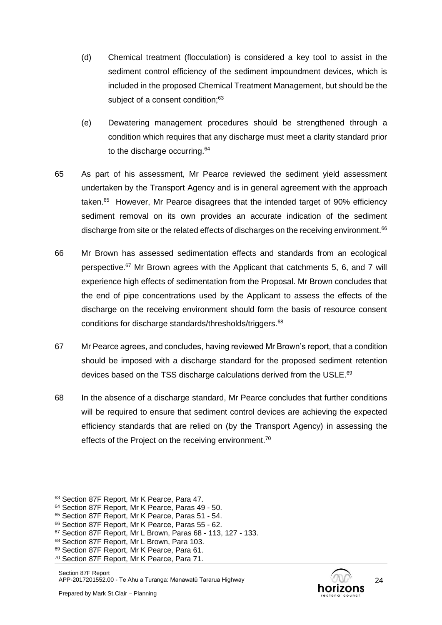- (d) Chemical treatment (flocculation) is considered a key tool to assist in the sediment control efficiency of the sediment impoundment devices, which is included in the proposed Chemical Treatment Management, but should be the subject of a consent condition:<sup>63</sup>
- (e) Dewatering management procedures should be strengthened through a condition which requires that any discharge must meet a clarity standard prior to the discharge occurring.<sup>64</sup>
- 65 As part of his assessment, Mr Pearce reviewed the sediment yield assessment undertaken by the Transport Agency and is in general agreement with the approach taken.<sup>65</sup> However, Mr Pearce disagrees that the intended target of 90% efficiency sediment removal on its own provides an accurate indication of the sediment discharge from site or the related effects of discharges on the receiving environment.<sup>66</sup>
- 66 Mr Brown has assessed sedimentation effects and standards from an ecological perspective.<sup>67</sup> Mr Brown agrees with the Applicant that catchments 5, 6, and 7 will experience high effects of sedimentation from the Proposal. Mr Brown concludes that the end of pipe concentrations used by the Applicant to assess the effects of the discharge on the receiving environment should form the basis of resource consent conditions for discharge standards/thresholds/triggers.<sup>68</sup>
- 67 Mr Pearce agrees, and concludes, having reviewed Mr Brown's report, that a condition should be imposed with a discharge standard for the proposed sediment retention devices based on the TSS discharge calculations derived from the USLE.<sup>69</sup>
- 68 In the absence of a discharge standard, Mr Pearce concludes that further conditions will be required to ensure that sediment control devices are achieving the expected efficiency standards that are relied on (by the Transport Agency) in assessing the effects of the Project on the receiving environment.<sup>70</sup>

<sup>63</sup> Section 87F Report, Mr K Pearce, Para 47.

<sup>64</sup> Section 87F Report, Mr K Pearce, Paras 49 - 50.

<sup>65</sup> Section 87F Report, Mr K Pearce, Paras 51 - 54.

<sup>66</sup> Section 87F Report, Mr K Pearce, Paras 55 - 62.

<sup>67</sup> Section 87F Report, Mr L Brown, Paras 68 - 113, 127 - 133.

<sup>68</sup> Section 87F Report, Mr L Brown, Para 103.

<sup>69</sup> Section 87F Report, Mr K Pearce, Para 61.

<sup>70</sup> Section 87F Report, Mr K Pearce, Para 71.

Section 87F Report APP-2017201552.00 - Te Ahu a Turanga: Manawatū Tararua Highway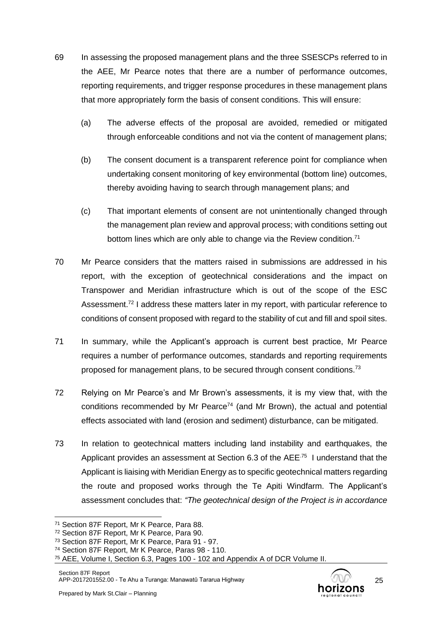- 69 In assessing the proposed management plans and the three SSESCPs referred to in the AEE, Mr Pearce notes that there are a number of performance outcomes, reporting requirements, and trigger response procedures in these management plans that more appropriately form the basis of consent conditions. This will ensure:
	- (a) The adverse effects of the proposal are avoided, remedied or mitigated through enforceable conditions and not via the content of management plans;
	- (b) The consent document is a transparent reference point for compliance when undertaking consent monitoring of key environmental (bottom line) outcomes, thereby avoiding having to search through management plans; and
	- (c) That important elements of consent are not unintentionally changed through the management plan review and approval process; with conditions setting out bottom lines which are only able to change via the Review condition.<sup>71</sup>
- 70 Mr Pearce considers that the matters raised in submissions are addressed in his report, with the exception of geotechnical considerations and the impact on Transpower and Meridian infrastructure which is out of the scope of the ESC Assessment.<sup>72</sup> I address these matters later in my report, with particular reference to conditions of consent proposed with regard to the stability of cut and fill and spoil sites.
- 71 In summary, while the Applicant's approach is current best practice, Mr Pearce requires a number of performance outcomes, standards and reporting requirements proposed for management plans, to be secured through consent conditions.<sup>73</sup>
- 72 Relying on Mr Pearce's and Mr Brown's assessments, it is my view that, with the conditions recommended by Mr Pearce<sup>74</sup> (and Mr Brown), the actual and potential effects associated with land (erosion and sediment) disturbance, can be mitigated.
- 73 In relation to geotechnical matters including land instability and earthquakes, the Applicant provides an assessment at Section 6.3 of the AEE<sup>75</sup> I understand that the Applicant is liaising with Meridian Energy as to specific geotechnical matters regarding the route and proposed works through the Te Apiti Windfarm. The Applicant's assessment concludes that: *"The geotechnical design of the Project is in accordance*



<sup>71</sup> Section 87F Report, Mr K Pearce, Para 88.

<sup>72</sup> Section 87F Report, Mr K Pearce, Para 90.

<sup>73</sup> Section 87F Report, Mr K Pearce, Para 91 - 97.

<sup>74</sup> Section 87F Report, Mr K Pearce, Paras 98 - 110.

<sup>75</sup> AEE, Volume I, Section 6.3, Pages 100 - 102 and Appendix A of DCR Volume II.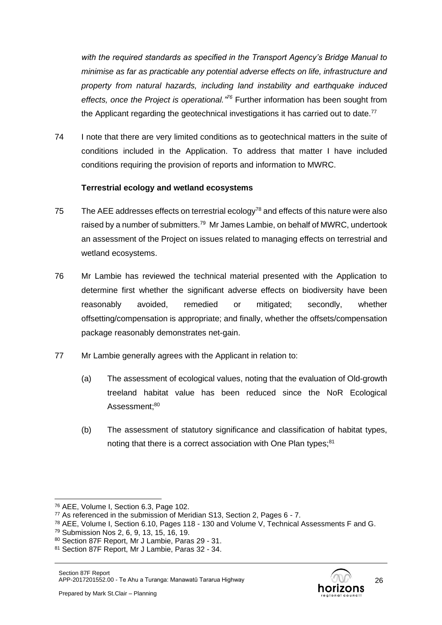*with the required standards as specified in the Transport Agency's Bridge Manual to minimise as far as practicable any potential adverse effects on life, infrastructure and property from natural hazards, including land instability and earthquake induced effects, once the Project is operational." <sup>76</sup>* Further information has been sought from the Applicant regarding the geotechnical investigations it has carried out to date.<sup>77</sup>

74 I note that there are very limited conditions as to geotechnical matters in the suite of conditions included in the Application. To address that matter I have included conditions requiring the provision of reports and information to MWRC.

### **Terrestrial ecology and wetland ecosystems**

- 75 The AEE addresses effects on terrestrial ecology<sup>78</sup> and effects of this nature were also raised by a number of submitters.<sup>79</sup> Mr James Lambie, on behalf of MWRC, undertook an assessment of the Project on issues related to managing effects on terrestrial and wetland ecosystems.
- 76 Mr Lambie has reviewed the technical material presented with the Application to determine first whether the significant adverse effects on biodiversity have been reasonably avoided, remedied or mitigated; secondly, whether offsetting/compensation is appropriate; and finally, whether the offsets/compensation package reasonably demonstrates net-gain.
- 77 Mr Lambie generally agrees with the Applicant in relation to:
	- (a) The assessment of ecological values, noting that the evaluation of Old-growth treeland habitat value has been reduced since the NoR Ecological Assessment:<sup>80</sup>
	- (b) The assessment of statutory significance and classification of habitat types, noting that there is a correct association with One Plan types:<sup>81</sup>

<sup>76</sup> AEE, Volume I, Section 6.3, Page 102.

<sup>77</sup> As referenced in the submission of Meridian S13, Section 2, Pages 6 - 7.

<sup>78</sup> AEE, Volume I, Section 6.10, Pages 118 - 130 and Volume V, Technical Assessments F and G.

<sup>79</sup> Submission Nos 2, 6, 9, 13, 15, 16, 19.

<sup>80</sup> Section 87F Report, Mr J Lambie, Paras 29 - 31.

<sup>81</sup> Section 87F Report, Mr J Lambie, Paras 32 - 34.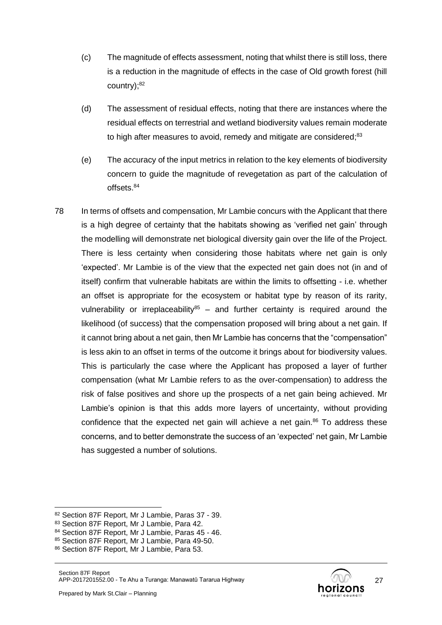- (c) The magnitude of effects assessment, noting that whilst there is still loss, there is a reduction in the magnitude of effects in the case of Old growth forest (hill country); 82
- (d) The assessment of residual effects, noting that there are instances where the residual effects on terrestrial and wetland biodiversity values remain moderate to high after measures to avoid, remedy and mitigate are considered;<sup>83</sup>
- (e) The accuracy of the input metrics in relation to the key elements of biodiversity concern to guide the magnitude of revegetation as part of the calculation of offsets.<sup>84</sup>
- 78 In terms of offsets and compensation, Mr Lambie concurs with the Applicant that there is a high degree of certainty that the habitats showing as 'verified net gain' through the modelling will demonstrate net biological diversity gain over the life of the Project. There is less certainty when considering those habitats where net gain is only 'expected'. Mr Lambie is of the view that the expected net gain does not (in and of itself) confirm that vulnerable habitats are within the limits to offsetting - i.e. whether an offset is appropriate for the ecosystem or habitat type by reason of its rarity, vulnerability or irreplaceability<sup>85</sup> – and further certainty is required around the likelihood (of success) that the compensation proposed will bring about a net gain. If it cannot bring about a net gain, then Mr Lambie has concerns that the "compensation" is less akin to an offset in terms of the outcome it brings about for biodiversity values. This is particularly the case where the Applicant has proposed a layer of further compensation (what Mr Lambie refers to as the over-compensation) to address the risk of false positives and shore up the prospects of a net gain being achieved. Mr Lambie's opinion is that this adds more layers of uncertainty, without providing confidence that the expected net gain will achieve a net gain. $86$  To address these concerns, and to better demonstrate the success of an 'expected' net gain, Mr Lambie has suggested a number of solutions.



<sup>82</sup> Section 87F Report, Mr J Lambie, Paras 37 - 39.

<sup>83</sup> Section 87F Report, Mr J Lambie, Para 42.

<sup>84</sup> Section 87F Report, Mr J Lambie, Paras 45 - 46.

<sup>85</sup> Section 87F Report, Mr J Lambie, Para 49-50.

<sup>86</sup> Section 87F Report, Mr J Lambie, Para 53.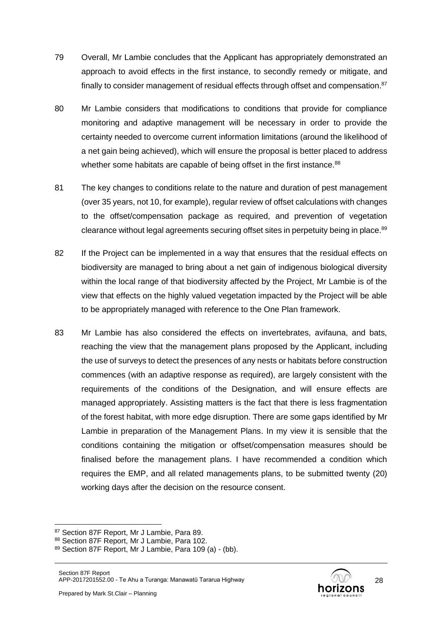- 79 Overall, Mr Lambie concludes that the Applicant has appropriately demonstrated an approach to avoid effects in the first instance, to secondly remedy or mitigate, and finally to consider management of residual effects through offset and compensation. $87$
- 80 Mr Lambie considers that modifications to conditions that provide for compliance monitoring and adaptive management will be necessary in order to provide the certainty needed to overcome current information limitations (around the likelihood of a net gain being achieved), which will ensure the proposal is better placed to address whether some habitats are capable of being offset in the first instance.<sup>88</sup>
- 81 The key changes to conditions relate to the nature and duration of pest management (over 35 years, not 10, for example), regular review of offset calculations with changes to the offset/compensation package as required, and prevention of vegetation clearance without legal agreements securing offset sites in perpetuity being in place.<sup>89</sup>
- 82 If the Project can be implemented in a way that ensures that the residual effects on biodiversity are managed to bring about a net gain of indigenous biological diversity within the local range of that biodiversity affected by the Project, Mr Lambie is of the view that effects on the highly valued vegetation impacted by the Project will be able to be appropriately managed with reference to the One Plan framework.
- 83 Mr Lambie has also considered the effects on invertebrates, avifauna, and bats, reaching the view that the management plans proposed by the Applicant, including the use of surveys to detect the presences of any nests or habitats before construction commences (with an adaptive response as required), are largely consistent with the requirements of the conditions of the Designation, and will ensure effects are managed appropriately. Assisting matters is the fact that there is less fragmentation of the forest habitat, with more edge disruption. There are some gaps identified by Mr Lambie in preparation of the Management Plans. In my view it is sensible that the conditions containing the mitigation or offset/compensation measures should be finalised before the management plans. I have recommended a condition which requires the EMP, and all related managements plans, to be submitted twenty (20) working days after the decision on the resource consent.

<sup>87</sup> Section 87F Report, Mr J Lambie, Para 89.

<sup>88</sup> Section 87F Report, Mr J Lambie, Para 102.

<sup>89</sup> Section 87F Report, Mr J Lambie, Para 109 (a) - (bb).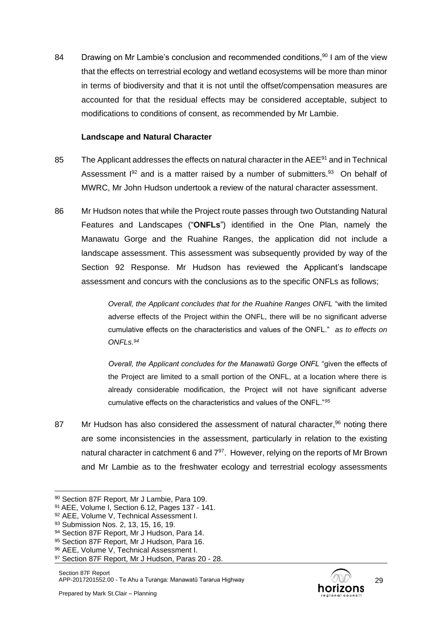84 Drawing on Mr Lambie's conclusion and recommended conditions,<sup>90</sup> I am of the view that the effects on terrestrial ecology and wetland ecosystems will be more than minor in terms of biodiversity and that it is not until the offset/compensation measures are accounted for that the residual effects may be considered acceptable, subject to modifications to conditions of consent, as recommended by Mr Lambie.

#### **Landscape and Natural Character**

- 85 The Applicant addresses the effects on natural character in the AEE<sup>91</sup> and in Technical Assessment  $192$  and is a matter raised by a number of submitters.  $93$  On behalf of MWRC, Mr John Hudson undertook a review of the natural character assessment.
- 86 Mr Hudson notes that while the Project route passes through two Outstanding Natural Features and Landscapes ("**ONFLs**") identified in the One Plan, namely the Manawatu Gorge and the Ruahine Ranges, the application did not include a landscape assessment. This assessment was subsequently provided by way of the Section 92 Response. Mr Hudson has reviewed the Applicant's landscape assessment and concurs with the conclusions as to the specific ONFLs as follows;

*Overall, the Applicant concludes that for the Ruahine Ranges ONFL* "with the limited adverse effects of the Project within the ONFL, there will be no significant adverse cumulative effects on the characteristics and values of the ONFL." *as to effects on ONFLs. 94*

*Overall, the Applicant concludes for the Manawatū Gorge ONFL* "given the effects of the Project are limited to a small portion of the ONFL, at a location where there is already considerable modification, the Project will not have significant adverse cumulative effects on the characteristics and values of the ONFL."*<sup>95</sup>*

87 Mr Hudson has also considered the assessment of natural character,<sup>96</sup> noting there are some inconsistencies in the assessment, particularly in relation to the existing natural character in catchment 6 and  $7^{97}$ . However, relying on the reports of Mr Brown and Mr Lambie as to the freshwater ecology and terrestrial ecology assessments

<sup>90</sup> Section 87F Report, Mr J Lambie, Para 109.

<sup>91</sup> AEE, Volume I, Section 6.12, Pages 137 - 141.

<sup>92</sup> AEE, Volume V, Technical Assessment I.

<sup>93</sup> Submission Nos. 2, 13, 15, 16, 19,

<sup>94</sup> Section 87F Report, Mr J Hudson, Para 14.

<sup>95</sup> Section 87F Report, Mr J Hudson, Para 16.

<sup>96</sup> AEE, Volume V, Technical Assessment I.

<sup>97</sup> Section 87F Report, Mr J Hudson, Paras 20 - 28.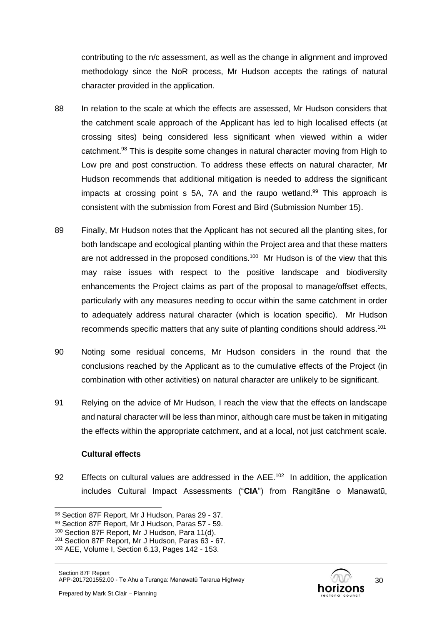contributing to the n/c assessment, as well as the change in alignment and improved methodology since the NoR process, Mr Hudson accepts the ratings of natural character provided in the application.

- 88 In relation to the scale at which the effects are assessed, Mr Hudson considers that the catchment scale approach of the Applicant has led to high localised effects (at crossing sites) being considered less significant when viewed within a wider catchment.<sup>98</sup> This is despite some changes in natural character moving from High to Low pre and post construction. To address these effects on natural character, Mr Hudson recommends that additional mitigation is needed to address the significant impacts at crossing point s  $5A$ ,  $7A$  and the raupo wetland.<sup>99</sup> This approach is consistent with the submission from Forest and Bird (Submission Number 15).
- 89 Finally, Mr Hudson notes that the Applicant has not secured all the planting sites, for both landscape and ecological planting within the Project area and that these matters are not addressed in the proposed conditions.<sup>100</sup> Mr Hudson is of the view that this may raise issues with respect to the positive landscape and biodiversity enhancements the Project claims as part of the proposal to manage/offset effects, particularly with any measures needing to occur within the same catchment in order to adequately address natural character (which is location specific). Mr Hudson recommends specific matters that any suite of planting conditions should address.<sup>101</sup>
- 90 Noting some residual concerns, Mr Hudson considers in the round that the conclusions reached by the Applicant as to the cumulative effects of the Project (in combination with other activities) on natural character are unlikely to be significant.
- 91 Relying on the advice of Mr Hudson, I reach the view that the effects on landscape and natural character will be less than minor, although care must be taken in mitigating the effects within the appropriate catchment, and at a local, not just catchment scale.

### **Cultural effects**

92 Effects on cultural values are addressed in the  $AEE.^{102}$  In addition, the application includes Cultural Impact Assessments ("**CIA**") from Rangitāne o Manawatū,

<sup>98</sup> Section 87F Report, Mr J Hudson, Paras 29 - 37.

<sup>99</sup> Section 87F Report, Mr J Hudson, Paras 57 - 59.

<sup>100</sup> Section 87F Report, Mr J Hudson, Para 11(d).

<sup>101</sup> Section 87F Report, Mr J Hudson, Paras 63 - 67.

<sup>102</sup> AEE, Volume I, Section 6.13, Pages 142 - 153.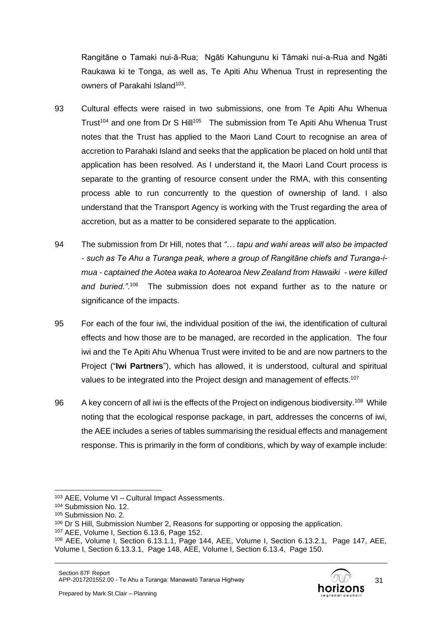Rangitāne o Tamaki nui-ā-Rua; Ngāti Kahungunu ki Tāmaki nui-a-Rua and Ngāti Raukawa ki te Tonga, as well as, Te Apiti Ahu Whenua Trust in representing the owners of Parakahi Island<sup>103</sup>.

- 93 Cultural effects were raised in two submissions, one from Te Apiti Ahu Whenua Trust<sup>104</sup> and one from Dr S Hill<sup>105</sup> The submission from Te Apiti Ahu Whenua Trust notes that the Trust has applied to the Maori Land Court to recognise an area of accretion to Parahaki Island and seeks that the application be placed on hold until that application has been resolved. As I understand it, the Maori Land Court process is separate to the granting of resource consent under the RMA, with this consenting process able to run concurrently to the question of ownership of land. I also understand that the Transport Agency is working with the Trust regarding the area of accretion, but as a matter to be considered separate to the application.
- 94 The submission from Dr Hill, notes that *"… tapu and wahi areas will also be impacted - such as Te Ahu a Turanga peak, where a group of Rangitāne chiefs and Turanga-imua - captained the Aotea waka to Aotearoa New Zealand from Hawaiki - were killed*  and buried.".<sup>106</sup> The submission does not expand further as to the nature or significance of the impacts.
- 95 For each of the four iwi, the individual position of the iwi, the identification of cultural effects and how those are to be managed, are recorded in the application. The four iwi and the Te Apiti Ahu Whenua Trust were invited to be and are now partners to the Project ("**Iwi Partners**"), which has allowed, it is understood, cultural and spiritual values to be integrated into the Project design and management of effects.<sup>107</sup>
- 96 A key concern of all iwi is the effects of the Project on indigenous biodiversity.<sup>108</sup> While noting that the ecological response package, in part, addresses the concerns of iwi, the AEE includes a series of tables summarising the residual effects and management response. This is primarily in the form of conditions, which by way of example include:

<sup>103</sup> AEE, Volume VI – Cultural Impact Assessments.

<sup>104</sup> Submission No. 12.

<sup>105</sup> Submission No. 2.

<sup>106</sup> Dr S Hill, Submission Number 2, Reasons for supporting or opposing the application.

<sup>107</sup> AEE, Volume I, Section 6.13.6, Page 152.

<sup>108</sup> AEE, Volume I, Section 6.13.1.1, Page 144, AEE, Volume I, Section 6.13.2.1, Page 147, AEE, Volume I, Section 6.13.3.1, Page 148, AEE, Volume I, Section 6.13.4, Page 150.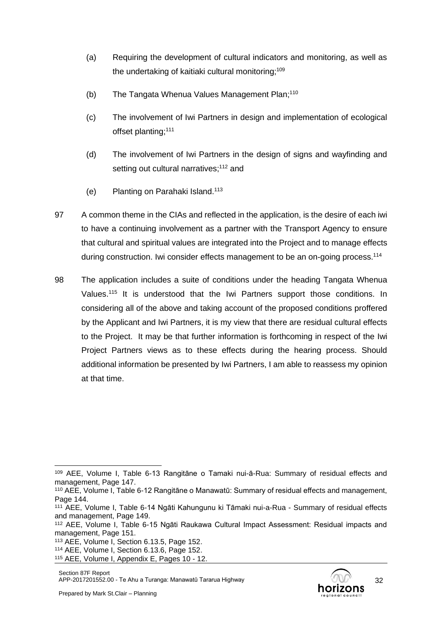- (a) Requiring the development of cultural indicators and monitoring, as well as the undertaking of kaitiaki cultural monitoring;<sup>109</sup>
- (b) The Tangata Whenua Values Management Plan;<sup>110</sup>
- (c) The involvement of Iwi Partners in design and implementation of ecological offset planting;<sup>111</sup>
- (d) The involvement of Iwi Partners in the design of signs and wayfinding and setting out cultural narratives;<sup>112</sup> and
- (e) Planting on Parahaki Island. 113
- 97 A common theme in the CIAs and reflected in the application, is the desire of each iwi to have a continuing involvement as a partner with the Transport Agency to ensure that cultural and spiritual values are integrated into the Project and to manage effects during construction. Iwi consider effects management to be an on-going process.<sup>114</sup>
- 98 The application includes a suite of conditions under the heading Tangata Whenua Values.<sup>115</sup> It is understood that the Iwi Partners support those conditions. In considering all of the above and taking account of the proposed conditions proffered by the Applicant and Iwi Partners, it is my view that there are residual cultural effects to the Project. It may be that further information is forthcoming in respect of the Iwi Project Partners views as to these effects during the hearing process. Should additional information be presented by Iwi Partners, I am able to reassess my opinion at that time.



<sup>109</sup> AEE, Volume I, Table 6-13 Rangitāne o Tamaki nui-ā-Rua: Summary of residual effects and management, Page 147.

<sup>110</sup> AEE, Volume I, Table 6-12 Rangitāne o Manawatū: Summary of residual effects and management, Page 144.

<sup>111</sup> AEE, Volume I, Table 6-14 Ngāti Kahungunu ki Tāmaki nui-a-Rua - Summary of residual effects and management, Page 149.

<sup>112</sup> AEE, Volume I, Table 6-15 Ngāti Raukawa Cultural Impact Assessment: Residual impacts and management, Page 151.

<sup>113</sup> AEE, Volume I, Section 6.13.5, Page 152.

<sup>114</sup> AEE, Volume I, Section 6.13.6, Page 152.

<sup>115</sup> AEE, Volume I, Appendix E, Pages 10 - 12.

Section 87F Report APP-2017201552.00 - Te Ahu a Turanga: Manawatū Tararua Highway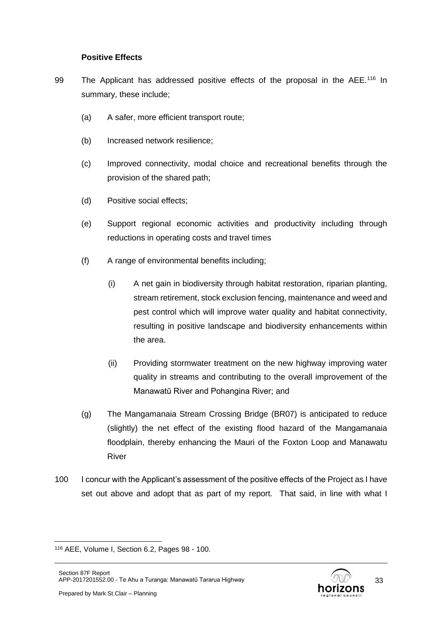#### **Positive Effects**

- 99 The Applicant has addressed positive effects of the proposal in the AEE.<sup>116</sup> In summary, these include;
	- (a) A safer, more efficient transport route;
	- (b) Increased network resilience;
	- (c) Improved connectivity, modal choice and recreational benefits through the provision of the shared path;
	- (d) Positive social effects;
	- (e) Support regional economic activities and productivity including through reductions in operating costs and travel times
	- (f) A range of environmental benefits including;
		- (i) A net gain in biodiversity through habitat restoration, riparian planting, stream retirement, stock exclusion fencing, maintenance and weed and pest control which will improve water quality and habitat connectivity, resulting in positive landscape and biodiversity enhancements within the area.
		- (ii) Providing stormwater treatment on the new highway improving water quality in streams and contributing to the overall improvement of the Manawatū River and Pohangina River; and
	- (g) The Mangamanaia Stream Crossing Bridge (BR07) is anticipated to reduce (slightly) the net effect of the existing flood hazard of the Mangamanaia floodplain, thereby enhancing the Mauri of the Foxton Loop and Manawatu River
- 100 I concur with the Applicant's assessment of the positive effects of the Project as I have set out above and adopt that as part of my report. That said, in line with what I

<sup>116</sup> AEE, Volume I, Section 6.2, Pages 98 - 100.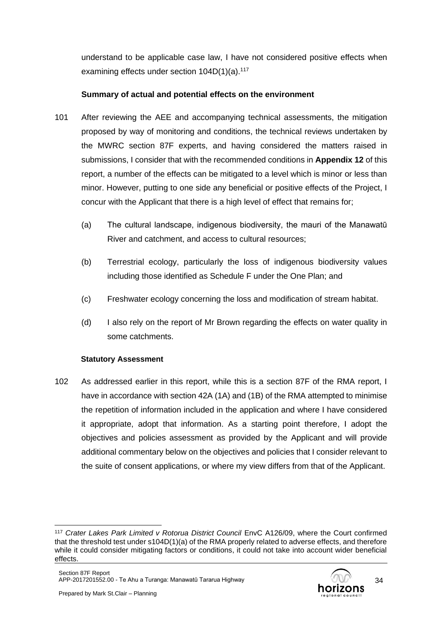understand to be applicable case law, I have not considered positive effects when examining effects under section  $104D(1)(a).<sup>117</sup>$ 

## **Summary of actual and potential effects on the environment**

- 101 After reviewing the AEE and accompanying technical assessments, the mitigation proposed by way of monitoring and conditions, the technical reviews undertaken by the MWRC section 87F experts, and having considered the matters raised in submissions, I consider that with the recommended conditions in **Appendix 12** of this report, a number of the effects can be mitigated to a level which is minor or less than minor. However, putting to one side any beneficial or positive effects of the Project, I concur with the Applicant that there is a high level of effect that remains for;
	- (a) The cultural landscape, indigenous biodiversity, the mauri of the Manawatū River and catchment, and access to cultural resources;
	- (b) Terrestrial ecology, particularly the loss of indigenous biodiversity values including those identified as Schedule F under the One Plan; and
	- (c) Freshwater ecology concerning the loss and modification of stream habitat.
	- (d) I also rely on the report of Mr Brown regarding the effects on water quality in some catchments.

### **Statutory Assessment**

102 As addressed earlier in this report, while this is a section 87F of the RMA report, I have in accordance with section 42A (1A) and (1B) of the RMA attempted to minimise the repetition of information included in the application and where I have considered it appropriate, adopt that information. As a starting point therefore, I adopt the objectives and policies assessment as provided by the Applicant and will provide additional commentary below on the objectives and policies that I consider relevant to the suite of consent applications, or where my view differs from that of the Applicant.

<sup>117</sup> *Crater Lakes Park Limited v Rotorua District Council* EnvC A126/09, where the Court confirmed that the threshold test under s104D(1)(a) of the RMA properly related to adverse effects, and therefore while it could consider mitigating factors or conditions, it could not take into account wider beneficial effects.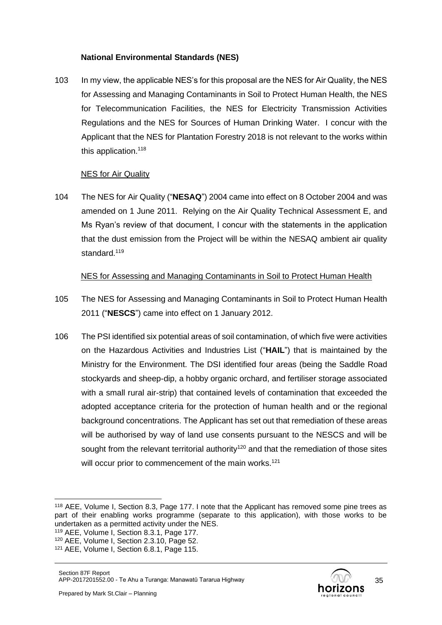### **National Environmental Standards (NES)**

103 In my view, the applicable NES's for this proposal are the NES for Air Quality, the NES for Assessing and Managing Contaminants in Soil to Protect Human Health, the NES for Telecommunication Facilities, the NES for Electricity Transmission Activities Regulations and the NES for Sources of Human Drinking Water. I concur with the Applicant that the NES for Plantation Forestry 2018 is not relevant to the works within this application.<sup>118</sup>

### NES for Air Quality

104 The NES for Air Quality ("**NESAQ**") 2004 came into effect on 8 October 2004 and was amended on 1 June 2011. Relying on the Air Quality Technical Assessment E, and Ms Ryan's review of that document, I concur with the statements in the application that the dust emission from the Project will be within the NESAQ ambient air quality standard.<sup>119</sup>

## NES for Assessing and Managing Contaminants in Soil to Protect Human Health

- 105 The NES for Assessing and Managing Contaminants in Soil to Protect Human Health 2011 ("**NESCS**") came into effect on 1 January 2012.
- 106 The PSI identified six potential areas of soil contamination, of which five were activities on the Hazardous Activities and Industries List ("**HAIL**") that is maintained by the Ministry for the Environment. The DSI identified four areas (being the Saddle Road stockyards and sheep-dip, a hobby organic orchard, and fertiliser storage associated with a small rural air-strip) that contained levels of contamination that exceeded the adopted acceptance criteria for the protection of human health and or the regional background concentrations. The Applicant has set out that remediation of these areas will be authorised by way of land use consents pursuant to the NESCS and will be sought from the relevant territorial authority<sup>120</sup> and that the remediation of those sites will occur prior to commencement of the main works.<sup>121</sup>

<sup>118</sup> AEE, Volume I, Section 8.3, Page 177. I note that the Applicant has removed some pine trees as part of their enabling works programme (separate to this application), with those works to be undertaken as a permitted activity under the NES.

<sup>119</sup> AEE, Volume I, Section 8.3.1, Page 177.

<sup>120</sup> AEE, Volume I, Section 2.3.10, Page 52.

<sup>121</sup> AEE, Volume I, Section 6.8.1, Page 115.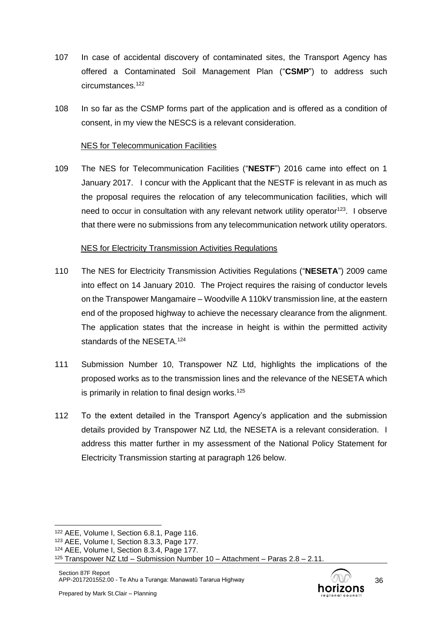- 107 In case of accidental discovery of contaminated sites, the Transport Agency has offered a Contaminated Soil Management Plan ("**CSMP**") to address such circumstances.<sup>122</sup>
- 108 In so far as the CSMP forms part of the application and is offered as a condition of consent, in my view the NESCS is a relevant consideration.

#### NES for Telecommunication Facilities

109 The NES for Telecommunication Facilities ("**NESTF**") 2016 came into effect on 1 January 2017. I concur with the Applicant that the NESTF is relevant in as much as the proposal requires the relocation of any telecommunication facilities, which will need to occur in consultation with any relevant network utility operator<sup>123</sup>. I observe that there were no submissions from any telecommunication network utility operators.

#### NES for Electricity Transmission Activities Regulations

- 110 The NES for Electricity Transmission Activities Regulations ("**NESETA**") 2009 came into effect on 14 January 2010. The Project requires the raising of conductor levels on the Transpower Mangamaire – Woodville A 110kV transmission line, at the eastern end of the proposed highway to achieve the necessary clearance from the alignment. The application states that the increase in height is within the permitted activity standards of the NESETA.<sup>124</sup>
- 111 Submission Number 10, Transpower NZ Ltd, highlights the implications of the proposed works as to the transmission lines and the relevance of the NESETA which is primarily in relation to final design works.<sup>125</sup>
- 112 To the extent detailed in the Transport Agency's application and the submission details provided by Transpower NZ Ltd, the NESETA is a relevant consideration. I address this matter further in my assessment of the National Policy Statement for Electricity Transmission starting at paragraph 126 below.

<sup>124</sup> AEE, Volume I, Section 8.3.4, Page 177.



<sup>122</sup> AEE, Volume I, Section 6.8.1, Page 116.

<sup>123</sup> AEE, Volume I, Section 8.3.3, Page 177.

<sup>&</sup>lt;sup>125</sup> Transpower NZ Ltd – Submission Number 10 – Attachment – Paras  $2.8 - 2.11$ .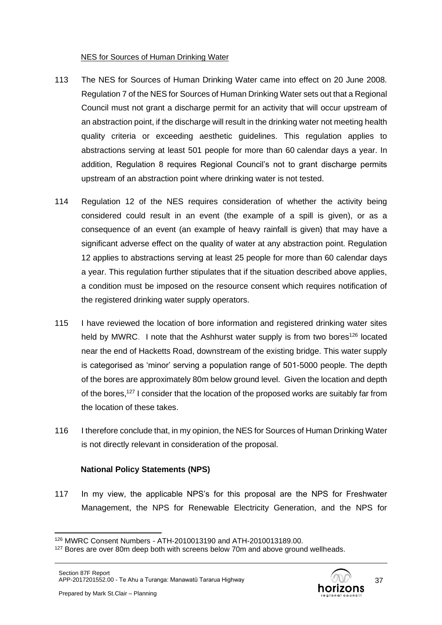#### NES for Sources of Human Drinking Water

- 113 The NES for Sources of Human Drinking Water came into effect on 20 June 2008. Regulation 7 of the NES for Sources of Human Drinking Water sets out that a Regional Council must not grant a discharge permit for an activity that will occur upstream of an abstraction point, if the discharge will result in the drinking water not meeting health quality criteria or exceeding aesthetic guidelines. This regulation applies to abstractions serving at least 501 people for more than 60 calendar days a year. In addition, Regulation 8 requires Regional Council's not to grant discharge permits upstream of an abstraction point where drinking water is not tested.
- 114 Regulation 12 of the NES requires consideration of whether the activity being considered could result in an event (the example of a spill is given), or as a consequence of an event (an example of heavy rainfall is given) that may have a significant adverse effect on the quality of water at any abstraction point. Regulation 12 applies to abstractions serving at least 25 people for more than 60 calendar days a year. This regulation further stipulates that if the situation described above applies, a condition must be imposed on the resource consent which requires notification of the registered drinking water supply operators.
- 115 I have reviewed the location of bore information and registered drinking water sites held by MWRC. I note that the Ashhurst water supply is from two bores<sup>126</sup> located near the end of Hacketts Road, downstream of the existing bridge. This water supply is categorised as 'minor' serving a population range of 501-5000 people. The depth of the bores are approximately 80m below ground level. Given the location and depth of the bores,<sup>127</sup> I consider that the location of the proposed works are suitably far from the location of these takes.
- 116 I therefore conclude that, in my opinion, the NES for Sources of Human Drinking Water is not directly relevant in consideration of the proposal.

#### **National Policy Statements (NPS)**

117 In my view, the applicable NPS's for this proposal are the NPS for Freshwater Management, the NPS for Renewable Electricity Generation, and the NPS for



<sup>126</sup> MWRC Consent Numbers - ATH-2010013190 and ATH-2010013189.00.

<sup>&</sup>lt;sup>127</sup> Bores are over 80m deep both with screens below 70m and above ground wellheads.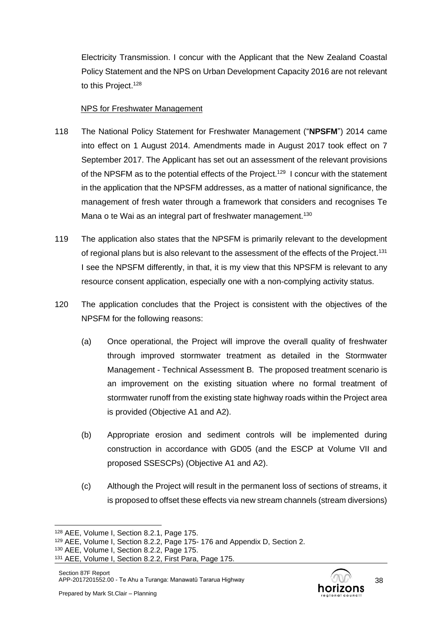Electricity Transmission. I concur with the Applicant that the New Zealand Coastal Policy Statement and the NPS on Urban Development Capacity 2016 are not relevant to this Project.<sup>128</sup>

### NPS for Freshwater Management

- 118 The National Policy Statement for Freshwater Management ("**NPSFM**") 2014 came into effect on 1 August 2014. Amendments made in August 2017 took effect on 7 September 2017. The Applicant has set out an assessment of the relevant provisions of the NPSFM as to the potential effects of the Project.<sup>129</sup> I concur with the statement in the application that the NPSFM addresses, as a matter of national significance, the management of fresh water through a framework that considers and recognises Te Mana o te Wai as an integral part of freshwater management.<sup>130</sup>
- 119 The application also states that the NPSFM is primarily relevant to the development of regional plans but is also relevant to the assessment of the effects of the Project.<sup>131</sup> I see the NPSFM differently, in that, it is my view that this NPSFM is relevant to any resource consent application, especially one with a non-complying activity status.
- 120 The application concludes that the Project is consistent with the objectives of the NPSFM for the following reasons:
	- (a) Once operational, the Project will improve the overall quality of freshwater through improved stormwater treatment as detailed in the Stormwater Management - Technical Assessment B. The proposed treatment scenario is an improvement on the existing situation where no formal treatment of stormwater runoff from the existing state highway roads within the Project area is provided (Objective A1 and A2).
	- (b) Appropriate erosion and sediment controls will be implemented during construction in accordance with GD05 (and the ESCP at Volume VII and proposed SSESCPs) (Objective A1 and A2).
	- (c) Although the Project will result in the permanent loss of sections of streams, it is proposed to offset these effects via new stream channels (stream diversions)



<sup>128</sup> AEE, Volume I, Section 8.2.1, Page 175.

<sup>129</sup> AEE, Volume I, Section 8.2.2, Page 175- 176 and Appendix D, Section 2.

<sup>130</sup> AEE, Volume I, Section 8.2.2, Page 175.

<sup>131</sup> AEE, Volume I, Section 8.2.2, First Para, Page 175.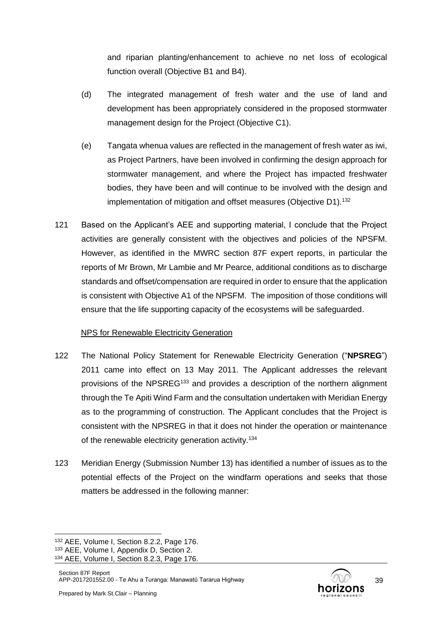and riparian planting/enhancement to achieve no net loss of ecological function overall (Objective B1 and B4).

- (d) The integrated management of fresh water and the use of land and development has been appropriately considered in the proposed stormwater management design for the Project (Objective C1).
- (e) Tangata whenua values are reflected in the management of fresh water as iwi, as Project Partners, have been involved in confirming the design approach for stormwater management, and where the Project has impacted freshwater bodies, they have been and will continue to be involved with the design and implementation of mitigation and offset measures (Objective D1).<sup>132</sup>
- 121 Based on the Applicant's AEE and supporting material, I conclude that the Project activities are generally consistent with the objectives and policies of the NPSFM. However, as identified in the MWRC section 87F expert reports, in particular the reports of Mr Brown, Mr Lambie and Mr Pearce, additional conditions as to discharge standards and offset/compensation are required in order to ensure that the application is consistent with Objective A1 of the NPSFM. The imposition of those conditions will ensure that the life supporting capacity of the ecosystems will be safeguarded.

### NPS for Renewable Electricity Generation

- 122 The National Policy Statement for Renewable Electricity Generation ("**NPSREG**") 2011 came into effect on 13 May 2011. The Applicant addresses the relevant provisions of the NPSREG<sup>133</sup> and provides a description of the northern alignment through the Te Apiti Wind Farm and the consultation undertaken with Meridian Energy as to the programming of construction. The Applicant concludes that the Project is consistent with the NPSREG in that it does not hinder the operation or maintenance of the renewable electricity generation activity.<sup>134</sup>
- 123 Meridian Energy (Submission Number 13) has identified a number of issues as to the potential effects of the Project on the windfarm operations and seeks that those matters be addressed in the following manner:



<sup>132</sup> AEE, Volume I, Section 8.2.2, Page 176.

<sup>133</sup> AEE, Volume I, Appendix D, Section 2.

<sup>134</sup> AEE, Volume I, Section 8.2.3, Page 176.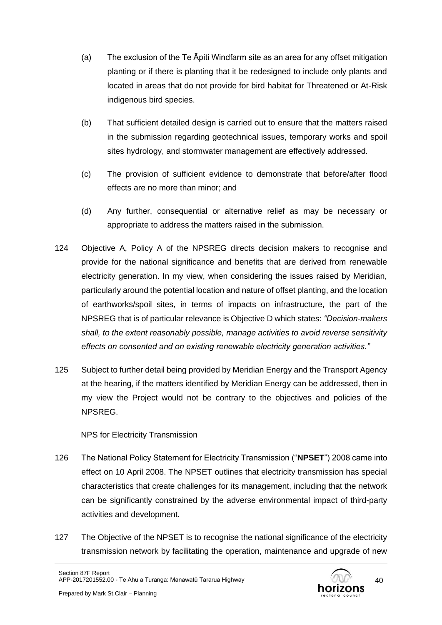- (a) The exclusion of the Te Āpiti Windfarm site as an area for any offset mitigation planting or if there is planting that it be redesigned to include only plants and located in areas that do not provide for bird habitat for Threatened or At-Risk indigenous bird species.
- (b) That sufficient detailed design is carried out to ensure that the matters raised in the submission regarding geotechnical issues, temporary works and spoil sites hydrology, and stormwater management are effectively addressed.
- (c) The provision of sufficient evidence to demonstrate that before/after flood effects are no more than minor; and
- (d) Any further, consequential or alternative relief as may be necessary or appropriate to address the matters raised in the submission.
- 124 Objective A, Policy A of the NPSREG directs decision makers to recognise and provide for the national significance and benefits that are derived from renewable electricity generation. In my view, when considering the issues raised by Meridian, particularly around the potential location and nature of offset planting, and the location of earthworks/spoil sites, in terms of impacts on infrastructure, the part of the NPSREG that is of particular relevance is Objective D which states: *"Decision-makers shall, to the extent reasonably possible, manage activities to avoid reverse sensitivity effects on consented and on existing renewable electricity generation activities."*
- 125 Subject to further detail being provided by Meridian Energy and the Transport Agency at the hearing, if the matters identified by Meridian Energy can be addressed, then in my view the Project would not be contrary to the objectives and policies of the NPSREG.

### NPS for Electricity Transmission

- 126 The National Policy Statement for Electricity Transmission ("**NPSET**") 2008 came into effect on 10 April 2008. The NPSET outlines that electricity transmission has special characteristics that create challenges for its management, including that the network can be significantly constrained by the adverse environmental impact of third-party activities and development.
- 127 The Objective of the NPSET is to recognise the national significance of the electricity transmission network by facilitating the operation, maintenance and upgrade of new

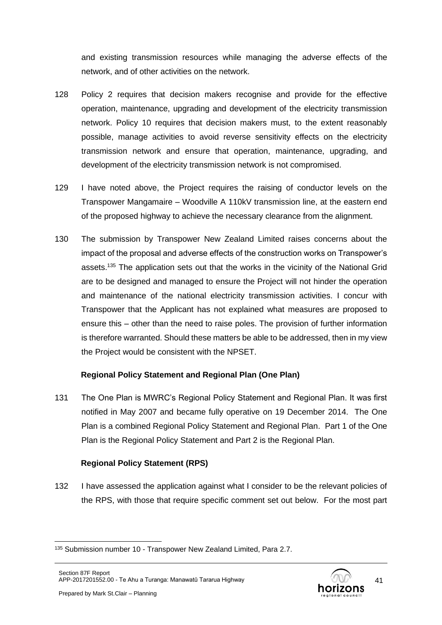and existing transmission resources while managing the adverse effects of the network, and of other activities on the network.

- 128 Policy 2 requires that decision makers recognise and provide for the effective operation, maintenance, upgrading and development of the electricity transmission network. Policy 10 requires that decision makers must, to the extent reasonably possible, manage activities to avoid reverse sensitivity effects on the electricity transmission network and ensure that operation, maintenance, upgrading, and development of the electricity transmission network is not compromised.
- 129 I have noted above, the Project requires the raising of conductor levels on the Transpower Mangamaire – Woodville A 110kV transmission line, at the eastern end of the proposed highway to achieve the necessary clearance from the alignment.
- 130 The submission by Transpower New Zealand Limited raises concerns about the impact of the proposal and adverse effects of the construction works on Transpower's assets.<sup>135</sup> The application sets out that the works in the vicinity of the National Grid are to be designed and managed to ensure the Project will not hinder the operation and maintenance of the national electricity transmission activities. I concur with Transpower that the Applicant has not explained what measures are proposed to ensure this – other than the need to raise poles. The provision of further information is therefore warranted. Should these matters be able to be addressed, then in my view the Project would be consistent with the NPSET.

### **Regional Policy Statement and Regional Plan (One Plan)**

131 The One Plan is MWRC's Regional Policy Statement and Regional Plan. It was first notified in May 2007 and became fully operative on 19 December 2014. The One Plan is a combined Regional Policy Statement and Regional Plan. Part 1 of the One Plan is the Regional Policy Statement and Part 2 is the Regional Plan.

## **Regional Policy Statement (RPS)**

132 I have assessed the application against what I consider to be the relevant policies of the RPS, with those that require specific comment set out below. For the most part

<sup>135</sup> Submission number 10 - Transpower New Zealand Limited, Para 2.7.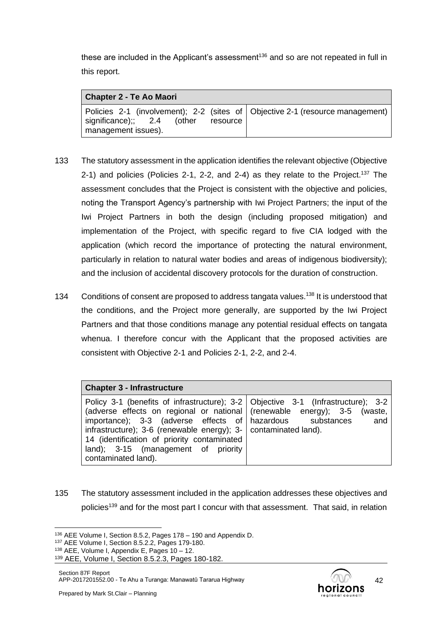these are included in the Applicant's assessment<sup>136</sup> and so are not repeated in full in this report.

| <b>Chapter 2 - Te Ao Maori</b>                                  |                                                                               |
|-----------------------------------------------------------------|-------------------------------------------------------------------------------|
| significance);; $2.4$ (other<br>resource<br>management issues). | Policies 2-1 (involvement); 2-2 (sites of Objective 2-1 (resource management) |

- 133 The statutory assessment in the application identifies the relevant objective (Objective 2-1) and policies (Policies 2-1, 2-2, and 2-4) as they relate to the Project.<sup>137</sup> The assessment concludes that the Project is consistent with the objective and policies, noting the Transport Agency's partnership with Iwi Project Partners; the input of the Iwi Project Partners in both the design (including proposed mitigation) and implementation of the Project, with specific regard to five CIA lodged with the application (which record the importance of protecting the natural environment, particularly in relation to natural water bodies and areas of indigenous biodiversity); and the inclusion of accidental discovery protocols for the duration of construction.
- 134 Conditions of consent are proposed to address tangata values.<sup>138</sup> It is understood that the conditions, and the Project more generally, are supported by the Iwi Project Partners and that those conditions manage any potential residual effects on tangata whenua. I therefore concur with the Applicant that the proposed activities are consistent with Objective 2-1 and Policies 2-1, 2-2, and 2-4.

| <b>Chapter 3 - Infrastructure</b>                                                                                                                                                    |                                                                                                                                                                                                                                     |
|--------------------------------------------------------------------------------------------------------------------------------------------------------------------------------------|-------------------------------------------------------------------------------------------------------------------------------------------------------------------------------------------------------------------------------------|
| infrastructure); 3-6 (renewable energy); 3- $\vert$ contaminated land).<br>14 (identification of priority contaminated<br>land); 3-15 (management of priority<br>contaminated land). | Policy 3-1 (benefits of infrastructure); 3-2   Objective 3-1 (Infrastructure); 3-2<br>(adverse effects on regional or national (renewable energy); $3-5$ (waste,<br>importance); $3-3$ (adverse effects of hazardous substances and |

135 The statutory assessment included in the application addresses these objectives and policies<sup>139</sup> and for the most part I concur with that assessment. That said, in relation



<sup>136</sup> AEE Volume I, Section 8.5.2, Pages 178 – 190 and Appendix D.

<sup>137</sup> AEE Volume I, Section 8.5.2.2, Pages 179-180.

<sup>138</sup> AEE, Volume I, Appendix E, Pages 10 – 12.

<sup>139</sup> AEE, Volume I, Section 8.5.2.3, Pages 180-182.

Section 87F Report APP-2017201552.00 - Te Ahu a Turanga: Manawatū Tararua Highway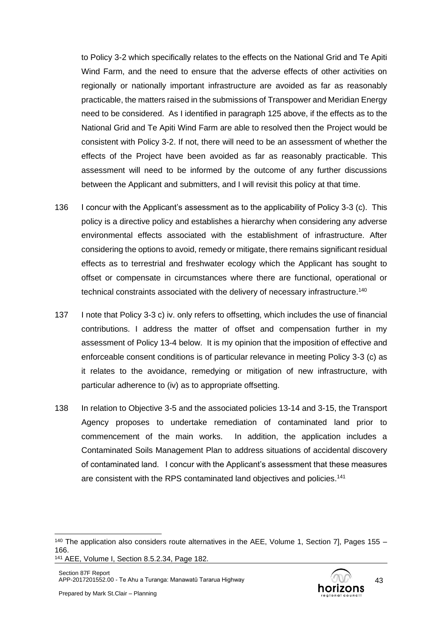to Policy 3-2 which specifically relates to the effects on the National Grid and Te Apiti Wind Farm, and the need to ensure that the adverse effects of other activities on regionally or nationally important infrastructure are avoided as far as reasonably practicable, the matters raised in the submissions of Transpower and Meridian Energy need to be considered. As I identified in paragraph 125 above, if the effects as to the National Grid and Te Apiti Wind Farm are able to resolved then the Project would be consistent with Policy 3-2. If not, there will need to be an assessment of whether the effects of the Project have been avoided as far as reasonably practicable. This assessment will need to be informed by the outcome of any further discussions between the Applicant and submitters, and I will revisit this policy at that time.

- 136 I concur with the Applicant's assessment as to the applicability of Policy 3-3 (c). This policy is a directive policy and establishes a hierarchy when considering any adverse environmental effects associated with the establishment of infrastructure. After considering the options to avoid, remedy or mitigate, there remains significant residual effects as to terrestrial and freshwater ecology which the Applicant has sought to offset or compensate in circumstances where there are functional, operational or technical constraints associated with the delivery of necessary infrastructure.<sup>140</sup>
- 137 I note that Policy 3-3 c) iv. only refers to offsetting, which includes the use of financial contributions. I address the matter of offset and compensation further in my assessment of Policy 13-4 below. It is my opinion that the imposition of effective and enforceable consent conditions is of particular relevance in meeting Policy 3-3 (c) as it relates to the avoidance, remedying or mitigation of new infrastructure, with particular adherence to (iv) as to appropriate offsetting.
- 138 In relation to Objective 3-5 and the associated policies 13-14 and 3-15, the Transport Agency proposes to undertake remediation of contaminated land prior to commencement of the main works. In addition, the application includes a Contaminated Soils Management Plan to address situations of accidental discovery of contaminated land. I concur with the Applicant's assessment that these measures are consistent with the RPS contaminated land objectives and policies.<sup>141</sup>



 $140$  The application also considers route alternatives in the AEE, Volume 1, Section 7], Pages 155 – 166.

<sup>141</sup> AEE, Volume I, Section 8.5.2.34, Page 182.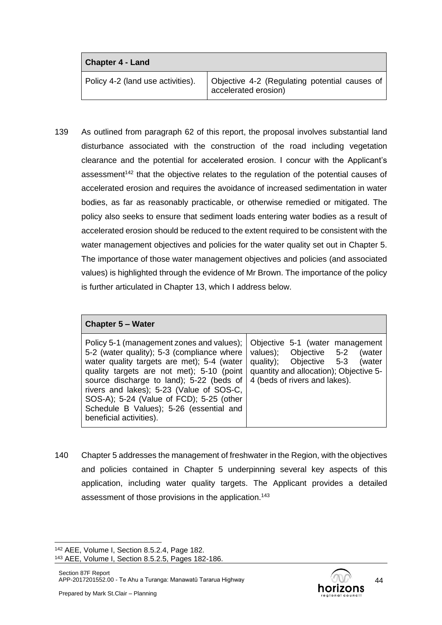| <b>Chapter 4 - Land</b>           |                                                                       |
|-----------------------------------|-----------------------------------------------------------------------|
| Policy 4-2 (land use activities). | Objective 4-2 (Regulating potential causes of<br>accelerated erosion) |

139 As outlined from paragraph 62 of this report, the proposal involves substantial land disturbance associated with the construction of the road including vegetation clearance and the potential for accelerated erosion. I concur with the Applicant's assessment<sup>142</sup> that the objective relates to the regulation of the potential causes of accelerated erosion and requires the avoidance of increased sedimentation in water bodies, as far as reasonably practicable, or otherwise remedied or mitigated. The policy also seeks to ensure that sediment loads entering water bodies as a result of accelerated erosion should be reduced to the extent required to be consistent with the water management objectives and policies for the water quality set out in Chapter 5. The importance of those water management objectives and policies (and associated values) is highlighted through the evidence of Mr Brown. The importance of the policy is further articulated in Chapter 13, which I address below.

### **Chapter 5 – Water**

| Policy 5-1 (management zones and values);   Objective 5-1 (water management<br>5-2 (water quality); 5-3 (compliance where   values); Objective 5-2<br>water quality targets are met); 5-4 (water<br>quality targets are not met); $5-10$ (point $\vert$ quantity and allocation); Objective 5-<br>source discharge to land); 5-22 (beds of<br>rivers and lakes); 5-23 (Value of SOS-C,<br>SOS-A); 5-24 (Value of FCD); 5-25 (other<br>Schedule B Values); 5-26 (essential and<br>beneficial activities). | (water<br>quality); Objective 5-3<br>(water<br>4 (beds of rivers and lakes). |
|----------------------------------------------------------------------------------------------------------------------------------------------------------------------------------------------------------------------------------------------------------------------------------------------------------------------------------------------------------------------------------------------------------------------------------------------------------------------------------------------------------|------------------------------------------------------------------------------|

140 Chapter 5 addresses the management of freshwater in the Region, with the objectives and policies contained in Chapter 5 underpinning several key aspects of this application, including water quality targets. The Applicant provides a detailed assessment of those provisions in the application.<sup>143</sup>

<sup>142</sup> AEE, Volume I, Section 8.5.2.4, Page 182.

<sup>143</sup> AEE, Volume I, Section 8.5.2.5, Pages 182-186.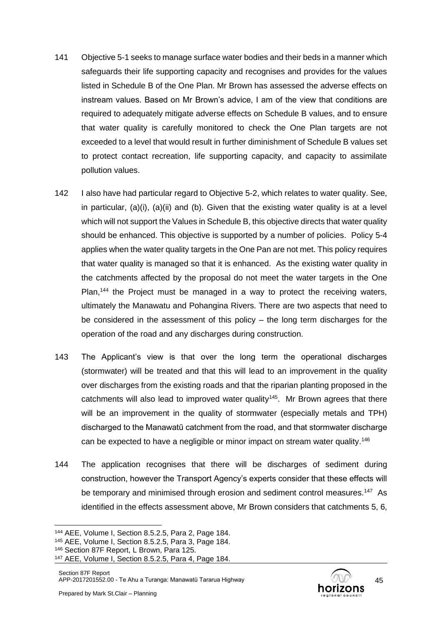- 141 Objective 5-1 seeks to manage surface water bodies and their beds in a manner which safeguards their life supporting capacity and recognises and provides for the values listed in Schedule B of the One Plan. Mr Brown has assessed the adverse effects on instream values. Based on Mr Brown's advice, I am of the view that conditions are required to adequately mitigate adverse effects on Schedule B values, and to ensure that water quality is carefully monitored to check the One Plan targets are not exceeded to a level that would result in further diminishment of Schedule B values set to protect contact recreation, life supporting capacity, and capacity to assimilate pollution values.
- 142 I also have had particular regard to Objective 5-2, which relates to water quality. See, in particular, (a)(i), (a)(ii) and (b). Given that the existing water quality is at a level which will not support the Values in Schedule B, this objective directs that water quality should be enhanced. This objective is supported by a number of policies. Policy 5-4 applies when the water quality targets in the One Pan are not met. This policy requires that water quality is managed so that it is enhanced. As the existing water quality in the catchments affected by the proposal do not meet the water targets in the One Plan,<sup>144</sup> the Project must be managed in a way to protect the receiving waters, ultimately the Manawatu and Pohangina Rivers. There are two aspects that need to be considered in the assessment of this policy – the long term discharges for the operation of the road and any discharges during construction.
- 143 The Applicant's view is that over the long term the operational discharges (stormwater) will be treated and that this will lead to an improvement in the quality over discharges from the existing roads and that the riparian planting proposed in the catchments will also lead to improved water quality<sup>145</sup>. Mr Brown agrees that there will be an improvement in the quality of stormwater (especially metals and TPH) discharged to the Manawatū catchment from the road, and that stormwater discharge can be expected to have a negligible or minor impact on stream water quality.<sup>146</sup>
- 144 The application recognises that there will be discharges of sediment during construction, however the Transport Agency's experts consider that these effects will be temporary and minimised through erosion and sediment control measures.<sup>147</sup> As identified in the effects assessment above, Mr Brown considers that catchments 5, 6,



<sup>144</sup> AEE, Volume I, Section 8.5.2.5, Para 2, Page 184.

<sup>145</sup> AEE, Volume I, Section 8.5.2.5, Para 3, Page 184.

<sup>146</sup> Section 87F Report, L Brown, Para 125.

<sup>147</sup> AEE, Volume I, Section 8.5.2.5, Para 4, Page 184.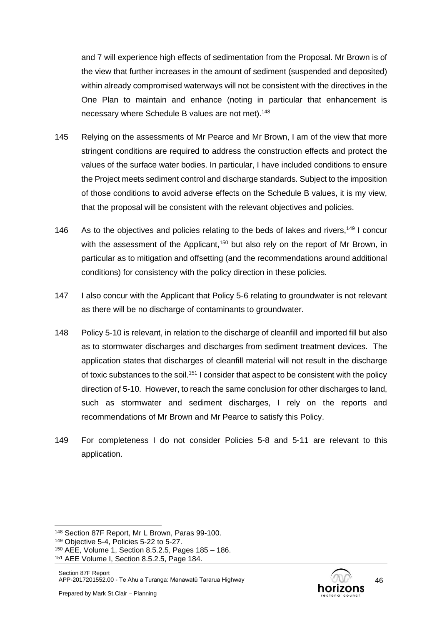and 7 will experience high effects of sedimentation from the Proposal. Mr Brown is of the view that further increases in the amount of sediment (suspended and deposited) within already compromised waterways will not be consistent with the directives in the One Plan to maintain and enhance (noting in particular that enhancement is necessary where Schedule B values are not met).<sup>148</sup>

- 145 Relying on the assessments of Mr Pearce and Mr Brown, I am of the view that more stringent conditions are required to address the construction effects and protect the values of the surface water bodies. In particular, I have included conditions to ensure the Project meets sediment control and discharge standards. Subject to the imposition of those conditions to avoid adverse effects on the Schedule B values, it is my view, that the proposal will be consistent with the relevant objectives and policies.
- 146 As to the objectives and policies relating to the beds of lakes and rivers,<sup>149</sup> I concur with the assessment of the Applicant,<sup>150</sup> but also rely on the report of Mr Brown, in particular as to mitigation and offsetting (and the recommendations around additional conditions) for consistency with the policy direction in these policies.
- 147 I also concur with the Applicant that Policy 5-6 relating to groundwater is not relevant as there will be no discharge of contaminants to groundwater.
- 148 Policy 5-10 is relevant, in relation to the discharge of cleanfill and imported fill but also as to stormwater discharges and discharges from sediment treatment devices. The application states that discharges of cleanfill material will not result in the discharge of toxic substances to the soil.<sup>151</sup> I consider that aspect to be consistent with the policy direction of 5-10. However, to reach the same conclusion for other discharges to land, such as stormwater and sediment discharges, I rely on the reports and recommendations of Mr Brown and Mr Pearce to satisfy this Policy.
- 149 For completeness I do not consider Policies 5-8 and 5-11 are relevant to this application.

<sup>148</sup> Section 87F Report, Mr L Brown, Paras 99-100.

<sup>149</sup> Objective 5-4, Policies 5-22 to 5-27.

<sup>150</sup> AEE, Volume 1, Section 8.5.2.5, Pages 185 – 186.

<sup>151</sup> AEE Volume I, Section 8.5.2.5, Page 184.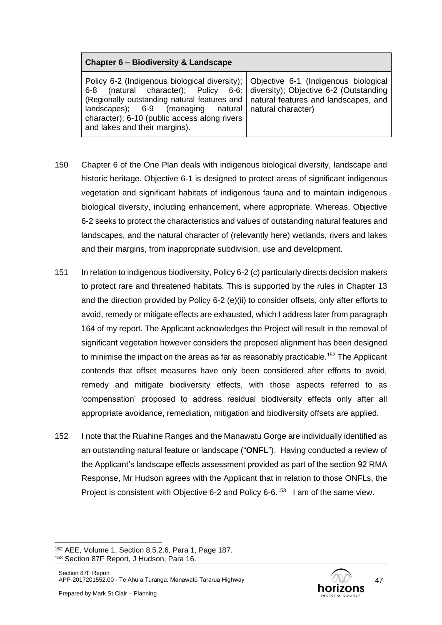### **Chapter 6 – Biodiversity & Landscape**

- 150 Chapter 6 of the One Plan deals with indigenous biological diversity, landscape and historic heritage. Objective 6-1 is designed to protect areas of significant indigenous vegetation and significant habitats of indigenous fauna and to maintain indigenous biological diversity, including enhancement, where appropriate. Whereas, Objective 6-2 seeks to protect the characteristics and values of outstanding natural features and landscapes, and the natural character of (relevantly here) wetlands, rivers and lakes and their margins, from inappropriate subdivision, use and development.
- 151 In relation to indigenous biodiversity, Policy 6-2 (c) particularly directs decision makers to protect rare and threatened habitats. This is supported by the rules in Chapter 13 and the direction provided by Policy 6-2 (e)(ii) to consider offsets, only after efforts to avoid, remedy or mitigate effects are exhausted, which I address later from paragraph 164 of my report. The Applicant acknowledges the Project will result in the removal of significant vegetation however considers the proposed alignment has been designed to minimise the impact on the areas as far as reasonably practicable.<sup>152</sup> The Applicant contends that offset measures have only been considered after efforts to avoid, remedy and mitigate biodiversity effects, with those aspects referred to as 'compensation' proposed to address residual biodiversity effects only after all appropriate avoidance, remediation, mitigation and biodiversity offsets are applied.
- 152 I note that the Ruahine Ranges and the Manawatu Gorge are individually identified as an outstanding natural feature or landscape ("**ONFL**"). Having conducted a review of the Applicant's landscape effects assessment provided as part of the section 92 RMA Response, Mr Hudson agrees with the Applicant that in relation to those ONFLs, the Project is consistent with Objective 6-2 and Policy 6-6.<sup>153</sup> I am of the same view.

<sup>152</sup> AEE, Volume 1, Section 8.5.2.6, Para 1, Page 187. <sup>153</sup> Section 87F Report, J Hudson, Para 16.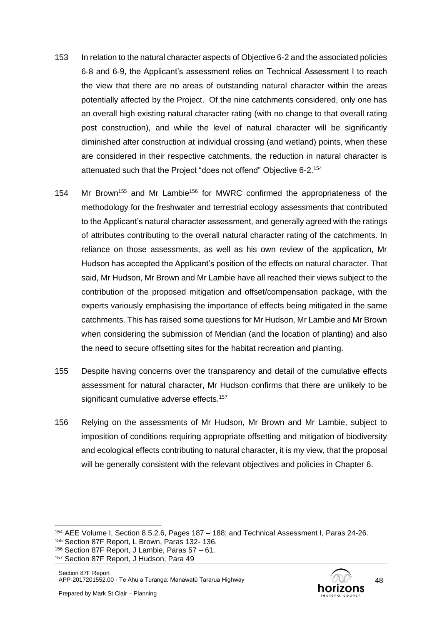- 153 In relation to the natural character aspects of Objective 6-2 and the associated policies 6-8 and 6-9, the Applicant's assessment relies on Technical Assessment I to reach the view that there are no areas of outstanding natural character within the areas potentially affected by the Project. Of the nine catchments considered, only one has an overall high existing natural character rating (with no change to that overall rating post construction), and while the level of natural character will be significantly diminished after construction at individual crossing (and wetland) points, when these are considered in their respective catchments, the reduction in natural character is attenuated such that the Project "does not offend" Objective 6-2.<sup>154</sup>
- 154 Mr Brown<sup>155</sup> and Mr Lambie<sup>156</sup> for MWRC confirmed the appropriateness of the methodology for the freshwater and terrestrial ecology assessments that contributed to the Applicant's natural character assessment, and generally agreed with the ratings of attributes contributing to the overall natural character rating of the catchments. In reliance on those assessments, as well as his own review of the application, Mr Hudson has accepted the Applicant's position of the effects on natural character. That said, Mr Hudson, Mr Brown and Mr Lambie have all reached their views subject to the contribution of the proposed mitigation and offset/compensation package, with the experts variously emphasising the importance of effects being mitigated in the same catchments. This has raised some questions for Mr Hudson, Mr Lambie and Mr Brown when considering the submission of Meridian (and the location of planting) and also the need to secure offsetting sites for the habitat recreation and planting.
- 155 Despite having concerns over the transparency and detail of the cumulative effects assessment for natural character, Mr Hudson confirms that there are unlikely to be significant cumulative adverse effects.<sup>157</sup>
- 156 Relying on the assessments of Mr Hudson, Mr Brown and Mr Lambie, subject to imposition of conditions requiring appropriate offsetting and mitigation of biodiversity and ecological effects contributing to natural character, it is my view, that the proposal will be generally consistent with the relevant objectives and policies in Chapter 6.

<sup>154</sup> AEE Volume I, Section 8.5.2.6, Pages 187 – 188; and Technical Assessment I, Paras 24-26.

<sup>155</sup> Section 87F Report, L Brown, Paras 132- 136.

<sup>156</sup> Section 87F Report, J Lambie, Paras 57 – 61.

<sup>157</sup> Section 87F Report, J Hudson, Para 49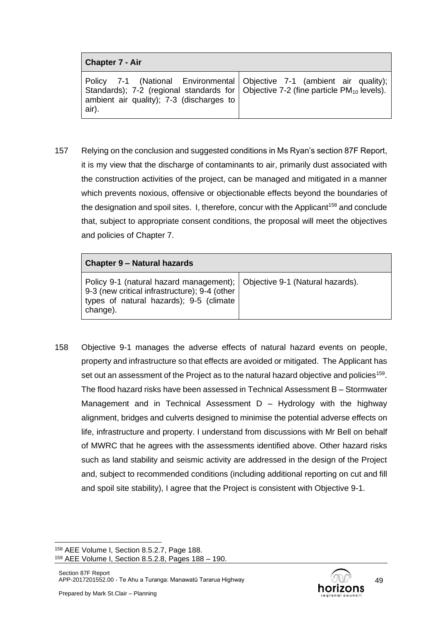Policy 7-1 (National Environmental Standards); 7-2 (regional standards for ambient air quality); 7-3 (discharges to air). Objective 7-1 (ambient air quality); Objective  $7-2$  (fine particle  $PM_{10}$  levels).

157 Relying on the conclusion and suggested conditions in Ms Ryan's section 87F Report, it is my view that the discharge of contaminants to air, primarily dust associated with the construction activities of the project, can be managed and mitigated in a manner which prevents noxious, offensive or objectionable effects beyond the boundaries of the designation and spoil sites. I, therefore, concur with the Applicant<sup>158</sup> and conclude that, subject to appropriate consent conditions, the proposal will meet the objectives and policies of Chapter 7.

| <b>Chapter 9 – Natural hazards</b>                                                                                                                                               |  |
|----------------------------------------------------------------------------------------------------------------------------------------------------------------------------------|--|
| Policy 9-1 (natural hazard management); Objective 9-1 (Natural hazards).<br>9-3 (new critical infrastructure); 9-4 (other<br>types of natural hazards); 9-5 (climate<br>change). |  |

158 Objective 9-1 manages the adverse effects of natural hazard events on people, property and infrastructure so that effects are avoided or mitigated. The Applicant has set out an assessment of the Project as to the natural hazard objective and policies<sup>159</sup>. The flood hazard risks have been assessed in Technical Assessment B – Stormwater Management and in Technical Assessment  $D - Hydrolody$  with the highway alignment, bridges and culverts designed to minimise the potential adverse effects on life, infrastructure and property. I understand from discussions with Mr Bell on behalf of MWRC that he agrees with the assessments identified above. Other hazard risks such as land stability and seismic activity are addressed in the design of the Project and, subject to recommended conditions (including additional reporting on cut and fill and spoil site stability), I agree that the Project is consistent with Objective 9-1.

<sup>158</sup> AEE Volume I, Section 8.5.2.7, Page 188. <sup>159</sup> AEE Volume I, Section 8.5.2.8, Pages 188 – 190.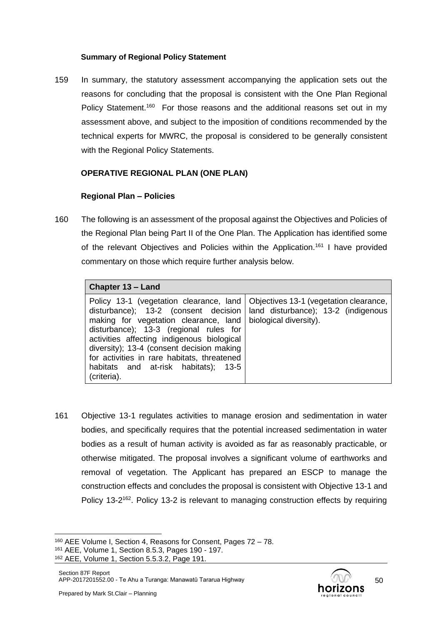#### **Summary of Regional Policy Statement**

159 In summary, the statutory assessment accompanying the application sets out the reasons for concluding that the proposal is consistent with the One Plan Regional Policy Statement.<sup>160</sup> For those reasons and the additional reasons set out in my assessment above, and subject to the imposition of conditions recommended by the technical experts for MWRC, the proposal is considered to be generally consistent with the Regional Policy Statements.

### **OPERATIVE REGIONAL PLAN (ONE PLAN)**

### **Regional Plan – Policies**

160 The following is an assessment of the proposal against the Objectives and Policies of the Regional Plan being Part II of the One Plan. The Application has identified some of the relevant Objectives and Policies within the Application.<sup>161</sup> I have provided commentary on those which require further analysis below.

| Chapter 13 - Land                                                                                                                                                                                                                                                                                                                                                                                            |                                                               |  |  |
|--------------------------------------------------------------------------------------------------------------------------------------------------------------------------------------------------------------------------------------------------------------------------------------------------------------------------------------------------------------------------------------------------------------|---------------------------------------------------------------|--|--|
| Policy 13-1 (vegetation clearance, land   Objectives 13-1 (vegetation clearance,<br>disturbance); 13-2 (consent decision<br>making for vegetation clearance, land<br>disturbance); 13-3 (regional rules for<br>activities affecting indigenous biological<br>diversity); 13-4 (consent decision making<br>for activities in rare habitats, threatened<br>habitats and at-risk habitats); 13-5<br>(criteria). | land disturbance); 13-2 (indigenous<br>biological diversity). |  |  |

161 Objective 13-1 regulates activities to manage erosion and sedimentation in water bodies, and specifically requires that the potential increased sedimentation in water bodies as a result of human activity is avoided as far as reasonably practicable, or otherwise mitigated. The proposal involves a significant volume of earthworks and removal of vegetation. The Applicant has prepared an ESCP to manage the construction effects and concludes the proposal is consistent with Objective 13-1 and Policy 13-2<sup>162</sup>. Policy 13-2 is relevant to managing construction effects by requiring

50

<sup>160</sup> AEE Volume I, Section 4, Reasons for Consent, Pages 72 – 78.

<sup>161</sup> AEE, Volume 1, Section 8.5.3, Pages 190 - 197.

<sup>162</sup> AEE, Volume 1, Section 5.5.3.2, Page 191.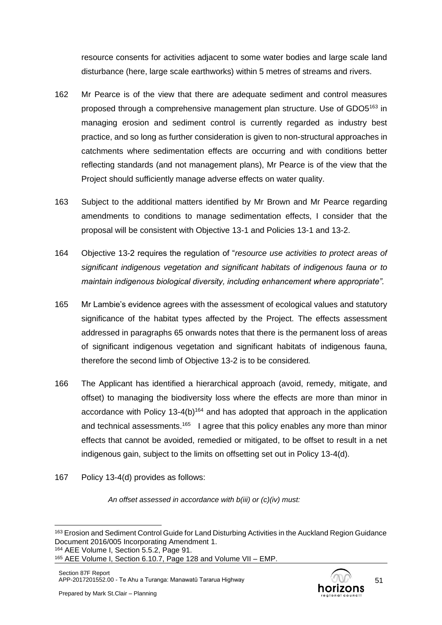resource consents for activities adjacent to some water bodies and large scale land disturbance (here, large scale earthworks) within 5 metres of streams and rivers.

- 162 Mr Pearce is of the view that there are adequate sediment and control measures proposed through a comprehensive management plan structure. Use of GDO5<sup>163</sup> in managing erosion and sediment control is currently regarded as industry best practice, and so long as further consideration is given to non-structural approaches in catchments where sedimentation effects are occurring and with conditions better reflecting standards (and not management plans), Mr Pearce is of the view that the Project should sufficiently manage adverse effects on water quality.
- 163 Subject to the additional matters identified by Mr Brown and Mr Pearce regarding amendments to conditions to manage sedimentation effects, I consider that the proposal will be consistent with Objective 13-1 and Policies 13-1 and 13-2.
- 164 Objective 13-2 requires the regulation of "*resource use activities to protect areas of significant indigenous vegetation and significant habitats of indigenous fauna or to maintain indigenous biological diversity, including enhancement where appropriate".*
- 165 Mr Lambie's evidence agrees with the assessment of ecological values and statutory significance of the habitat types affected by the Project. The effects assessment addressed in paragraphs 65 onwards notes that there is the permanent loss of areas of significant indigenous vegetation and significant habitats of indigenous fauna, therefore the second limb of Objective 13-2 is to be considered*.*
- 166 The Applicant has identified a hierarchical approach (avoid, remedy, mitigate, and offset) to managing the biodiversity loss where the effects are more than minor in accordance with Policy 13-4(b)<sup>164</sup> and has adopted that approach in the application and technical assessments.<sup>165</sup> I agree that this policy enables any more than minor effects that cannot be avoided, remedied or mitigated, to be offset to result in a net indigenous gain, subject to the limits on offsetting set out in Policy 13-4(d).
- 167 Policy 13-4(d) provides as follows:

*An offset assessed in accordance with b(iii) or (c)(iv) must:*



<sup>163</sup> Erosion and Sediment Control Guide for Land Disturbing Activities in the Auckland Region Guidance Document 2016/005 Incorporating Amendment 1. <sup>164</sup> AEE Volume I, Section 5.5.2, Page 91.

<sup>165</sup> AEE Volume I, Section 6.10.7, Page 128 and Volume VII – EMP.

Section 87F Report APP-2017201552.00 - Te Ahu a Turanga: Manawatū Tararua Highway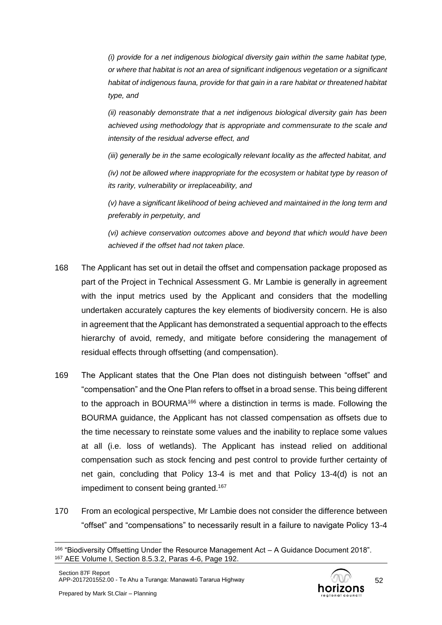*(i) provide for a net indigenous biological diversity gain within the same habitat type, or where that habitat is not an area of significant indigenous vegetation or a significant habitat of indigenous fauna, provide for that gain in a rare habitat or threatened habitat type, and*

*(ii) reasonably demonstrate that a net indigenous biological diversity gain has been achieved using methodology that is appropriate and commensurate to the scale and intensity of the residual adverse effect, and*

*(iii) generally be in the same ecologically relevant locality as the affected habitat, and*

*(iv)* not be allowed where inappropriate for the ecosystem or habitat type by reason of *its rarity, vulnerability or irreplaceability, and*

*(v) have a significant likelihood of being achieved and maintained in the long term and preferably in perpetuity, and* 

*(vi) achieve conservation outcomes above and beyond that which would have been achieved if the offset had not taken place.*

- 168 The Applicant has set out in detail the offset and compensation package proposed as part of the Project in Technical Assessment G. Mr Lambie is generally in agreement with the input metrics used by the Applicant and considers that the modelling undertaken accurately captures the key elements of biodiversity concern. He is also in agreement that the Applicant has demonstrated a sequential approach to the effects hierarchy of avoid, remedy, and mitigate before considering the management of residual effects through offsetting (and compensation).
- 169 The Applicant states that the One Plan does not distinguish between "offset" and "compensation" and the One Plan refers to offset in a broad sense. This being different to the approach in BOURMA<sup>166</sup> where a distinction in terms is made. Following the BOURMA guidance, the Applicant has not classed compensation as offsets due to the time necessary to reinstate some values and the inability to replace some values at all (i.e. loss of wetlands). The Applicant has instead relied on additional compensation such as stock fencing and pest control to provide further certainty of net gain, concluding that Policy 13-4 is met and that Policy 13-4(d) is not an impediment to consent being granted.<sup>167</sup>
- 170 From an ecological perspective, Mr Lambie does not consider the difference between "offset" and "compensations" to necessarily result in a failure to navigate Policy 13-4

<sup>166</sup> "Biodiversity Offsetting Under the Resource Management Act – A Guidance Document 2018". <sup>167</sup> AEE Volume I, Section 8.5.3.2, Paras 4-6, Page 192.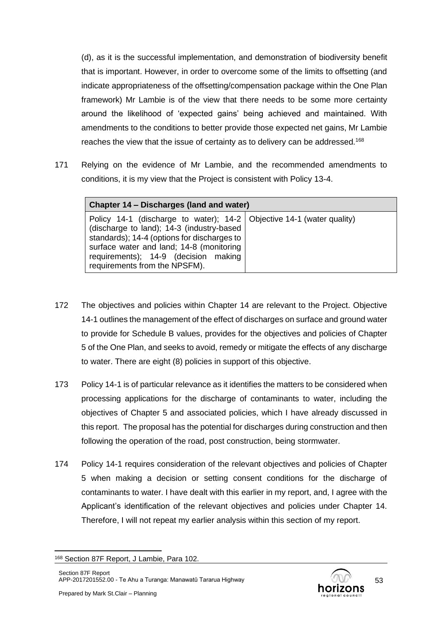(d), as it is the successful implementation, and demonstration of biodiversity benefit that is important. However, in order to overcome some of the limits to offsetting (and indicate appropriateness of the offsetting/compensation package within the One Plan framework) Mr Lambie is of the view that there needs to be some more certainty around the likelihood of 'expected gains' being achieved and maintained. With amendments to the conditions to better provide those expected net gains, Mr Lambie reaches the view that the issue of certainty as to delivery can be addressed.<sup>168</sup>

171 Relying on the evidence of Mr Lambie, and the recommended amendments to conditions, it is my view that the Project is consistent with Policy 13-4.

| Chapter 14 – Discharges (land and water)                                                                                                                                                                                                                                                 |  |  |
|------------------------------------------------------------------------------------------------------------------------------------------------------------------------------------------------------------------------------------------------------------------------------------------|--|--|
| Policy 14-1 (discharge to water); 14-2   Objective 14-1 (water quality)<br>(discharge to land); 14-3 (industry-based<br>standards); 14-4 (options for discharges to<br>surface water and land; 14-8 (monitoring<br>requirements); 14-9 (decision making<br>requirements from the NPSFM). |  |  |

- 172 The objectives and policies within Chapter 14 are relevant to the Project. Objective 14-1 outlines the management of the effect of discharges on surface and ground water to provide for Schedule B values, provides for the objectives and policies of Chapter 5 of the One Plan, and seeks to avoid, remedy or mitigate the effects of any discharge to water. There are eight (8) policies in support of this objective.
- 173 Policy 14-1 is of particular relevance as it identifies the matters to be considered when processing applications for the discharge of contaminants to water, including the objectives of Chapter 5 and associated policies, which I have already discussed in this report. The proposal has the potential for discharges during construction and then following the operation of the road, post construction, being stormwater.
- 174 Policy 14-1 requires consideration of the relevant objectives and policies of Chapter 5 when making a decision or setting consent conditions for the discharge of contaminants to water. I have dealt with this earlier in my report, and, I agree with the Applicant's identification of the relevant objectives and policies under Chapter 14. Therefore, I will not repeat my earlier analysis within this section of my report.

<sup>168</sup> Section 87F Report, J Lambie, Para 102.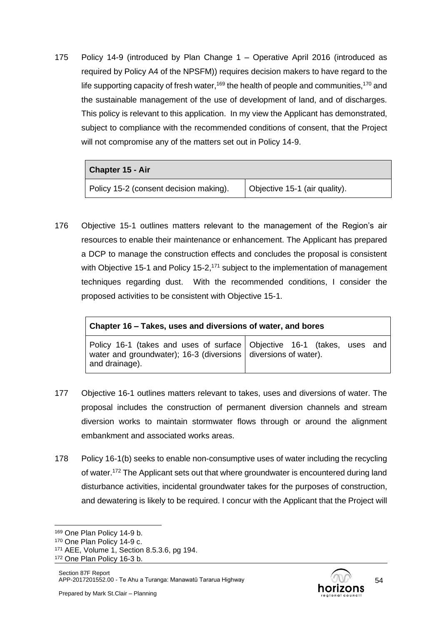175 Policy 14-9 (introduced by Plan Change 1 – Operative April 2016 (introduced as required by Policy A4 of the NPSFM)) requires decision makers to have regard to the life supporting capacity of fresh water,<sup>169</sup> the health of people and communities,<sup>170</sup> and the sustainable management of the use of development of land, and of discharges. This policy is relevant to this application. In my view the Applicant has demonstrated, subject to compliance with the recommended conditions of consent, that the Project will not compromise any of the matters set out in Policy 14-9.

| <b>Chapter 15 - Air</b>                |                               |
|----------------------------------------|-------------------------------|
| Policy 15-2 (consent decision making). | Objective 15-1 (air quality). |

176 Objective 15-1 outlines matters relevant to the management of the Region's air resources to enable their maintenance or enhancement. The Applicant has prepared a DCP to manage the construction effects and concludes the proposal is consistent with Objective 15-1 and Policy 15-2, $171$  subject to the implementation of management techniques regarding dust. With the recommended conditions, I consider the proposed activities to be consistent with Objective 15-1.

| Chapter 16 – Takes, uses and diversions of water, and bores                                                                                                        |  |  |  |  |  |  |
|--------------------------------------------------------------------------------------------------------------------------------------------------------------------|--|--|--|--|--|--|
| Policy 16-1 (takes and uses of surface Objective 16-1 (takes, uses and<br>water and groundwater); 16-3 (diversions $\vert$ diversions of water).<br>and drainage). |  |  |  |  |  |  |

- 177 Objective 16-1 outlines matters relevant to takes, uses and diversions of water. The proposal includes the construction of permanent diversion channels and stream diversion works to maintain stormwater flows through or around the alignment embankment and associated works areas.
- 178 Policy 16-1(b) seeks to enable non-consumptive uses of water including the recycling of water.<sup>172</sup> The Applicant sets out that where groundwater is encountered during land disturbance activities, incidental groundwater takes for the purposes of construction, and dewatering is likely to be required. I concur with the Applicant that the Project will



<sup>169</sup> One Plan Policy 14-9 b.

<sup>170</sup> One Plan Policy 14-9 c.

<sup>171</sup> AEE, Volume 1, Section 8.5.3.6, pg 194.

<sup>172</sup> One Plan Policy 16-3 b.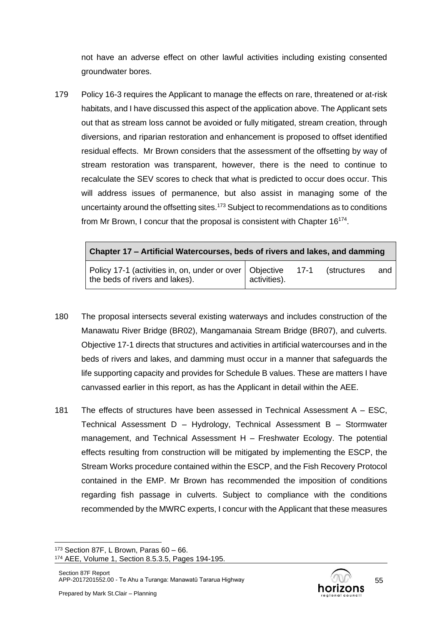not have an adverse effect on other lawful activities including existing consented groundwater bores.

179 Policy 16-3 requires the Applicant to manage the effects on rare, threatened or at-risk habitats, and I have discussed this aspect of the application above. The Applicant sets out that as stream loss cannot be avoided or fully mitigated, stream creation, through diversions, and riparian restoration and enhancement is proposed to offset identified residual effects. Mr Brown considers that the assessment of the offsetting by way of stream restoration was transparent, however, there is the need to continue to recalculate the SEV scores to check that what is predicted to occur does occur. This will address issues of permanence, but also assist in managing some of the uncertainty around the offsetting sites.<sup>173</sup> Subject to recommendations as to conditions from Mr Brown, I concur that the proposal is consistent with Chapter 16<sup>174</sup>.

| Chapter 17 – Artificial Watercourses, beds of rivers and lakes, and damming                      |              |  |                     |     |  |  |
|--------------------------------------------------------------------------------------------------|--------------|--|---------------------|-----|--|--|
| Policy 17-1 (activities in, on, under or over   Objective 17-1<br>the beds of rivers and lakes). | activities). |  | <i>(structures)</i> | and |  |  |

- 180 The proposal intersects several existing waterways and includes construction of the Manawatu River Bridge (BR02), Mangamanaia Stream Bridge (BR07), and culverts. Objective 17-1 directs that structures and activities in artificial watercourses and in the beds of rivers and lakes, and damming must occur in a manner that safeguards the life supporting capacity and provides for Schedule B values. These are matters I have canvassed earlier in this report, as has the Applicant in detail within the AEE.
- 181 The effects of structures have been assessed in Technical Assessment A ESC, Technical Assessment D – Hydrology, Technical Assessment B – Stormwater management, and Technical Assessment H – Freshwater Ecology. The potential effects resulting from construction will be mitigated by implementing the ESCP, the Stream Works procedure contained within the ESCP, and the Fish Recovery Protocol contained in the EMP. Mr Brown has recommended the imposition of conditions regarding fish passage in culverts. Subject to compliance with the conditions recommended by the MWRC experts, I concur with the Applicant that these measures



<sup>173</sup> Section 87F, L Brown, Paras 60 – 66.

<sup>174</sup> AEE, Volume 1, Section 8.5.3.5, Pages 194-195.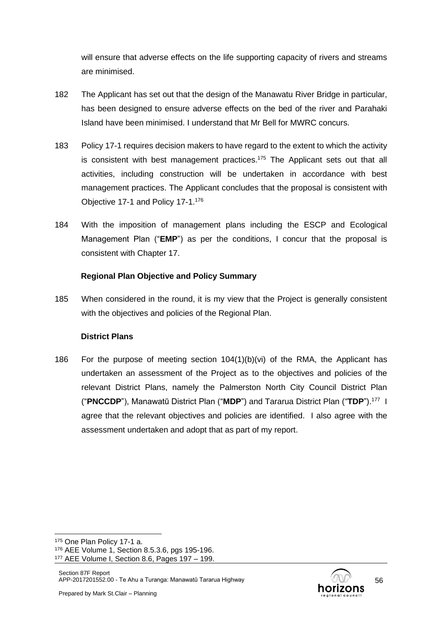will ensure that adverse effects on the life supporting capacity of rivers and streams are minimised.

- 182 The Applicant has set out that the design of the Manawatu River Bridge in particular, has been designed to ensure adverse effects on the bed of the river and Parahaki Island have been minimised. I understand that Mr Bell for MWRC concurs.
- 183 Policy 17-1 requires decision makers to have regard to the extent to which the activity is consistent with best management practices.<sup>175</sup> The Applicant sets out that all activities, including construction will be undertaken in accordance with best management practices. The Applicant concludes that the proposal is consistent with Objective 17-1 and Policy 17-1.<sup>176</sup>
- 184 With the imposition of management plans including the ESCP and Ecological Management Plan ("**EMP**") as per the conditions, I concur that the proposal is consistent with Chapter 17.

### **Regional Plan Objective and Policy Summary**

185 When considered in the round, it is my view that the Project is generally consistent with the objectives and policies of the Regional Plan.

### **District Plans**

186 For the purpose of meeting section 104(1)(b)(vi) of the RMA, the Applicant has undertaken an assessment of the Project as to the objectives and policies of the relevant District Plans, namely the Palmerston North City Council District Plan ("**PNCCDP**"), Manawatū District Plan ("**MDP**") and Tararua District Plan ("**TDP**").<sup>177</sup> I agree that the relevant objectives and policies are identified. I also agree with the assessment undertaken and adopt that as part of my report.

<sup>175</sup> One Plan Policy 17-1 a.

<sup>176</sup> AEE Volume 1, Section 8.5.3.6, pgs 195-196.

<sup>177</sup> AEE Volume I, Section 8.6, Pages 197 – 199.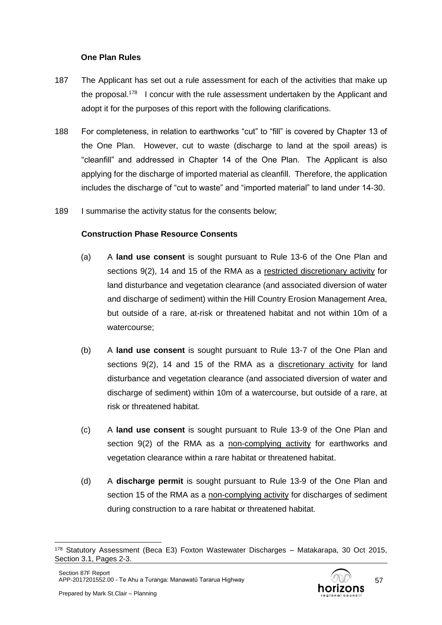### **One Plan Rules**

- 187 The Applicant has set out a rule assessment for each of the activities that make up the proposal.<sup>178</sup> I concur with the rule assessment undertaken by the Applicant and adopt it for the purposes of this report with the following clarifications.
- 188 For completeness, in relation to earthworks "cut" to "fill" is covered by Chapter 13 of the One Plan. However, cut to waste (discharge to land at the spoil areas) is "cleanfill" and addressed in Chapter 14 of the One Plan. The Applicant is also applying for the discharge of imported material as cleanfill. Therefore, the application includes the discharge of "cut to waste" and "imported material" to land under 14-30.
- 189 I summarise the activity status for the consents below;

### **Construction Phase Resource Consents**

- (a) A **land use consent** is sought pursuant to Rule 13-6 of the One Plan and sections 9(2), 14 and 15 of the RMA as a restricted discretionary activity for land disturbance and vegetation clearance (and associated diversion of water and discharge of sediment) within the Hill Country Erosion Management Area, but outside of a rare, at-risk or threatened habitat and not within 10m of a watercourse;
- (b) A **land use consent** is sought pursuant to Rule 13-7 of the One Plan and sections 9(2), 14 and 15 of the RMA as a discretionary activity for land disturbance and vegetation clearance (and associated diversion of water and discharge of sediment) within 10m of a watercourse, but outside of a rare, at risk or threatened habitat.
- (c) A **land use consent** is sought pursuant to Rule 13-9 of the One Plan and section 9(2) of the RMA as a non-complying activity for earthworks and vegetation clearance within a rare habitat or threatened habitat.
- (d) A **discharge permit** is sought pursuant to Rule 13-9 of the One Plan and section 15 of the RMA as a non-complying activity for discharges of sediment during construction to a rare habitat or threatened habitat.

<sup>178</sup> Statutory Assessment (Beca E3) Foxton Wastewater Discharges – Matakarapa, 30 Oct 2015, Section 3.1, Pages 2-3.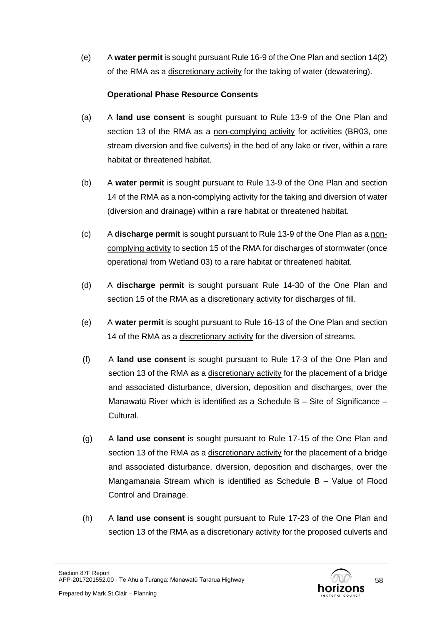(e) A **water permit** is sought pursuant Rule 16-9 of the One Plan and section 14(2) of the RMA as a discretionary activity for the taking of water (dewatering).

## **Operational Phase Resource Consents**

- (a) A **land use consent** is sought pursuant to Rule 13-9 of the One Plan and section 13 of the RMA as a non-complying activity for activities (BR03, one stream diversion and five culverts) in the bed of any lake or river, within a rare habitat or threatened habitat.
- (b) A **water permit** is sought pursuant to Rule 13-9 of the One Plan and section 14 of the RMA as a non-complying activity for the taking and diversion of water (diversion and drainage) within a rare habitat or threatened habitat.
- (c) A **discharge permit** is sought pursuant to Rule 13-9 of the One Plan as a noncomplying activity to section 15 of the RMA for discharges of stormwater (once operational from Wetland 03) to a rare habitat or threatened habitat.
- (d) A **discharge permit** is sought pursuant Rule 14-30 of the One Plan and section 15 of the RMA as a discretionary activity for discharges of fill.
- (e) A **water permit** is sought pursuant to Rule 16-13 of the One Plan and section 14 of the RMA as a discretionary activity for the diversion of streams.
- (f) A **land use consent** is sought pursuant to Rule 17-3 of the One Plan and section 13 of the RMA as a discretionary activity for the placement of a bridge and associated disturbance, diversion, deposition and discharges, over the Manawatū River which is identified as a Schedule B – Site of Significance – Cultural.
- (g) A **land use consent** is sought pursuant to Rule 17-15 of the One Plan and section 13 of the RMA as a discretionary activity for the placement of a bridge and associated disturbance, diversion, deposition and discharges, over the Mangamanaia Stream which is identified as Schedule B – Value of Flood Control and Drainage.
- (h) A **land use consent** is sought pursuant to Rule 17-23 of the One Plan and section 13 of the RMA as a discretionary activity for the proposed culverts and

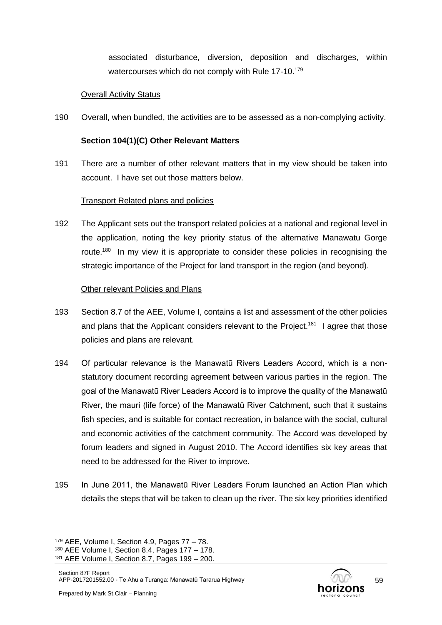associated disturbance, diversion, deposition and discharges, within watercourses which do not comply with Rule 17-10.<sup>179</sup>

#### Overall Activity Status

190 Overall, when bundled, the activities are to be assessed as a non-complying activity.

## **Section 104(1)(C) Other Relevant Matters**

191 There are a number of other relevant matters that in my view should be taken into account. I have set out those matters below.

### Transport Related plans and policies

192 The Applicant sets out the transport related policies at a national and regional level in the application, noting the key priority status of the alternative Manawatu Gorge route.<sup>180</sup> In my view it is appropriate to consider these policies in recognising the strategic importance of the Project for land transport in the region (and beyond).

### Other relevant Policies and Plans

- 193 Section 8.7 of the AEE, Volume I, contains a list and assessment of the other policies and plans that the Applicant considers relevant to the Project.<sup>181</sup> I agree that those policies and plans are relevant.
- 194 Of particular relevance is the Manawatū Rivers Leaders Accord, which is a nonstatutory document recording agreement between various parties in the region. The goal of the Manawatū River Leaders Accord is to improve the quality of the Manawatū River, the mauri (life force) of the Manawatū River Catchment, such that it sustains fish species, and is suitable for contact recreation, in balance with the social, cultural and economic activities of the catchment community. The Accord was developed by forum leaders and signed in August 2010. The Accord identifies six key areas that need to be addressed for the River to improve.
- 195 In June 2011, the Manawatū River Leaders Forum launched an Action Plan which details the steps that will be taken to clean up the river. The six key priorities identified



<sup>179</sup> AEE, Volume I, Section 4.9, Pages 77 – 78.

<sup>180</sup> AEE Volume I, Section 8.4, Pages 177 – 178.

<sup>181</sup> AEE Volume I, Section 8.7, Pages 199 – 200.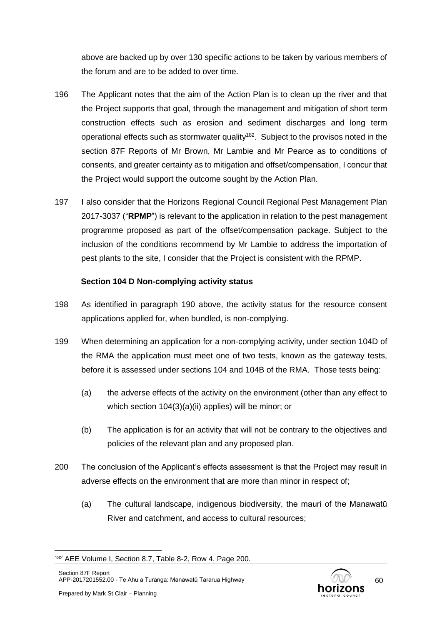above are backed up by over 130 specific actions to be taken by various members of the forum and are to be added to over time.

- 196 The Applicant notes that the aim of the Action Plan is to clean up the river and that the Project supports that goal, through the management and mitigation of short term construction effects such as erosion and sediment discharges and long term operational effects such as stormwater quality<sup>182</sup>. Subject to the provisos noted in the section 87F Reports of Mr Brown, Mr Lambie and Mr Pearce as to conditions of consents, and greater certainty as to mitigation and offset/compensation, I concur that the Project would support the outcome sought by the Action Plan.
- 197 I also consider that the Horizons Regional Council Regional Pest Management Plan 2017-3037 ("**RPMP**") is relevant to the application in relation to the pest management programme proposed as part of the offset/compensation package. Subject to the inclusion of the conditions recommend by Mr Lambie to address the importation of pest plants to the site, I consider that the Project is consistent with the RPMP.

### **Section 104 D Non-complying activity status**

- 198 As identified in paragraph 190 above, the activity status for the resource consent applications applied for, when bundled, is non-complying.
- 199 When determining an application for a non-complying activity, under section 104D of the RMA the application must meet one of two tests, known as the gateway tests, before it is assessed under sections 104 and 104B of the RMA. Those tests being:
	- (a) the adverse effects of the activity on the environment (other than any effect to which section [104\(3\)\(a\)\(ii\)](http://www.legislation.govt.nz/act/public/1991/0069/latest/link.aspx?id=DLM234355#DLM234355) applies) will be minor; or
	- (b) The application is for an activity that will not be contrary to the objectives and policies of the relevant plan and any proposed plan.
- 200 The conclusion of the Applicant's effects assessment is that the Project may result in adverse effects on the environment that are more than minor in respect of;
	- (a) The cultural landscape, indigenous biodiversity, the mauri of the Manawatū River and catchment, and access to cultural resources;

<sup>182</sup> AEE Volume I, Section 8.7, Table 8-2, Row 4, Page 200.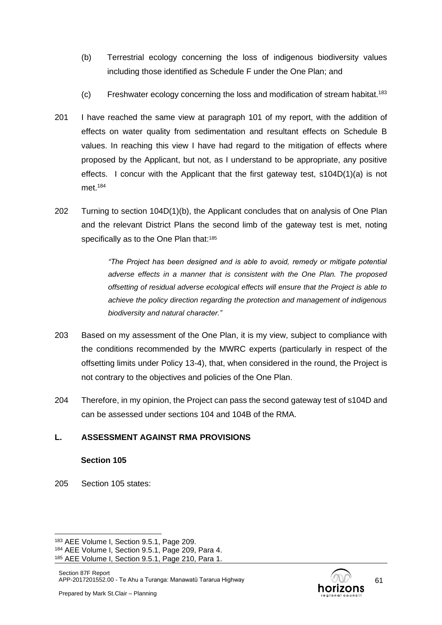- (b) Terrestrial ecology concerning the loss of indigenous biodiversity values including those identified as Schedule F under the One Plan; and
- (c) Freshwater ecology concerning the loss and modification of stream habitat.<sup>183</sup>
- 201 I have reached the same view at paragraph 101 of my report, with the addition of effects on water quality from sedimentation and resultant effects on Schedule B values. In reaching this view I have had regard to the mitigation of effects where proposed by the Applicant, but not, as I understand to be appropriate, any positive effects. I concur with the Applicant that the first gateway test, s104D(1)(a) is not met. 184
- 202 Turning to section 104D(1)(b), the Applicant concludes that on analysis of One Plan and the relevant District Plans the second limb of the gateway test is met, noting specifically as to the One Plan that:<sup>185</sup>

*"The Project has been designed and is able to avoid, remedy or mitigate potential adverse effects in a manner that is consistent with the One Plan. The proposed offsetting of residual adverse ecological effects will ensure that the Project is able to achieve the policy direction regarding the protection and management of indigenous biodiversity and natural character."*

- 203 Based on my assessment of the One Plan, it is my view, subject to compliance with the conditions recommended by the MWRC experts (particularly in respect of the offsetting limits under Policy 13-4), that, when considered in the round, the Project is not contrary to the objectives and policies of the One Plan.
- 204 Therefore, in my opinion, the Project can pass the second gateway test of s104D and can be assessed under sections 104 and 104B of the RMA.

### **L. ASSESSMENT AGAINST RMA PROVISIONS**

#### **Section 105**

205 Section 105 states:

61

<sup>183</sup> AEE Volume I, Section 9.5.1, Page 209.

<sup>184</sup> AEE Volume I, Section 9.5.1, Page 209, Para 4.

<sup>185</sup> AEE Volume I, Section 9.5.1, Page 210, Para 1.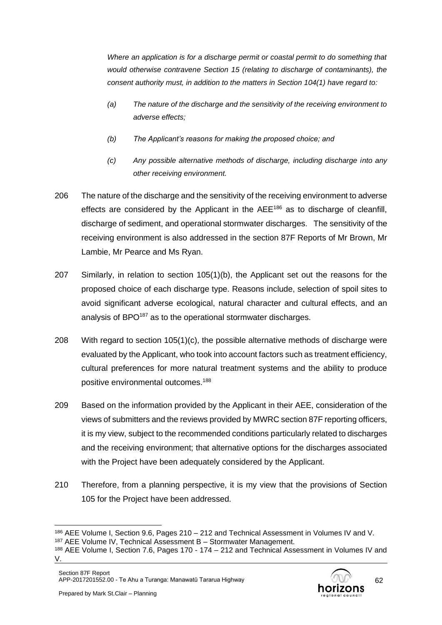*Where an application is for a discharge permit or coastal permit to do something that would otherwise contravene Section 15 (relating to discharge of contaminants), the consent authority must, in addition to the matters in Section 104(1) have regard to:*

- *(a) The nature of the discharge and the sensitivity of the receiving environment to adverse effects;*
- *(b) The Applicant's reasons for making the proposed choice; and*
- *(c) Any possible alternative methods of discharge, including discharge into any other receiving environment.*
- 206 The nature of the discharge and the sensitivity of the receiving environment to adverse effects are considered by the Applicant in the  $AEE^{186}$  as to discharge of cleanfill, discharge of sediment, and operational stormwater discharges. The sensitivity of the receiving environment is also addressed in the section 87F Reports of Mr Brown, Mr Lambie, Mr Pearce and Ms Ryan.
- 207 Similarly, in relation to section 105(1)(b), the Applicant set out the reasons for the proposed choice of each discharge type. Reasons include, selection of spoil sites to avoid significant adverse ecological, natural character and cultural effects, and an analysis of BPO<sup>187</sup> as to the operational stormwater discharges.
- 208 With regard to section 105(1)(c), the possible alternative methods of discharge were evaluated by the Applicant, who took into account factors such as treatment efficiency, cultural preferences for more natural treatment systems and the ability to produce positive environmental outcomes.<sup>188</sup>
- 209 Based on the information provided by the Applicant in their AEE, consideration of the views of submitters and the reviews provided by MWRC section 87F reporting officers, it is my view, subject to the recommended conditions particularly related to discharges and the receiving environment; that alternative options for the discharges associated with the Project have been adequately considered by the Applicant.
- 210 Therefore, from a planning perspective, it is my view that the provisions of Section 105 for the Project have been addressed.



<sup>186</sup> AEE Volume I, Section 9.6, Pages 210 – 212 and Technical Assessment in Volumes IV and V.

<sup>187</sup> AEE Volume IV, Technical Assessment B – Stormwater Management.

<sup>188</sup> AEE Volume I, Section 7.6, Pages 170 - 174 – 212 and Technical Assessment in Volumes IV and V.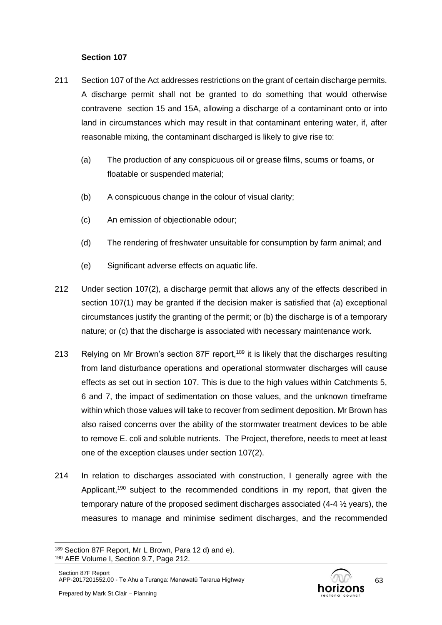### **Section 107**

- 211 Section 107 of the Act addresses restrictions on the grant of certain discharge permits. A discharge permit shall not be granted to do something that would otherwise contravene section 15 and 15A, allowing a discharge of a contaminant onto or into land in circumstances which may result in that contaminant entering water, if, after reasonable mixing, the contaminant discharged is likely to give rise to:
	- (a) The production of any conspicuous oil or grease films, scums or foams, or floatable or suspended material;
	- (b) A conspicuous change in the colour of visual clarity;
	- (c) An emission of objectionable odour;
	- (d) The rendering of freshwater unsuitable for consumption by farm animal; and
	- (e) Significant adverse effects on aquatic life.
- 212 Under section 107(2), a discharge permit that allows any of the effects described in section 107(1) may be granted if the decision maker is satisfied that (a) exceptional circumstances justify the granting of the permit; or (b) the discharge is of a temporary nature; or (c) that the discharge is associated with necessary maintenance work.
- 213 Relying on Mr Brown's section 87F report,<sup>189</sup> it is likely that the discharges resulting from land disturbance operations and operational stormwater discharges will cause effects as set out in section 107. This is due to the high values within Catchments 5, 6 and 7, the impact of sedimentation on those values, and the unknown timeframe within which those values will take to recover from sediment deposition. Mr Brown has also raised concerns over the ability of the stormwater treatment devices to be able to remove E. coli and soluble nutrients. The Project, therefore, needs to meet at least one of the exception clauses under section 107(2).
- 214 In relation to discharges associated with construction, I generally agree with the Applicant.<sup>190</sup> subject to the recommended conditions in my report, that given the temporary nature of the proposed sediment discharges associated (4-4 ½ years), the measures to manage and minimise sediment discharges, and the recommended

<sup>189</sup> Section 87F Report, Mr L Brown, Para 12 d) and e). <sup>190</sup> AEE Volume I, Section 9.7, Page 212.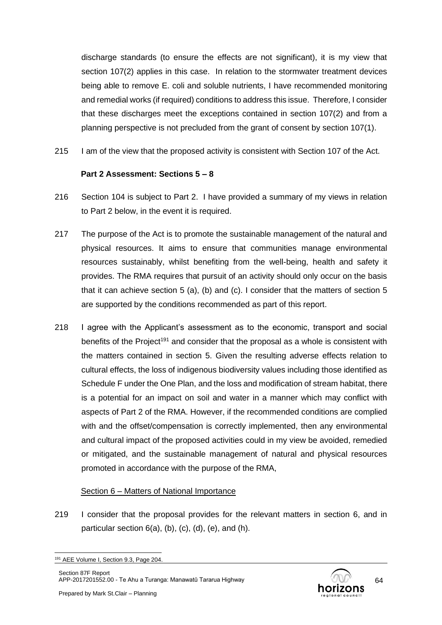discharge standards (to ensure the effects are not significant), it is my view that section 107(2) applies in this case. In relation to the stormwater treatment devices being able to remove E. coli and soluble nutrients, I have recommended monitoring and remedial works (if required) conditions to address this issue. Therefore, I consider that these discharges meet the exceptions contained in section 107(2) and from a planning perspective is not precluded from the grant of consent by section 107(1).

215 I am of the view that the proposed activity is consistent with Section 107 of the Act.

### **Part 2 Assessment: Sections 5 – 8**

- 216 Section 104 is subject to Part 2. I have provided a summary of my views in relation to Part 2 below, in the event it is required.
- 217 The purpose of the Act is to promote the sustainable management of the natural and physical resources. It aims to ensure that communities manage environmental resources sustainably, whilst benefiting from the well-being, health and safety it provides. The RMA requires that pursuit of an activity should only occur on the basis that it can achieve section 5 (a), (b) and (c). I consider that the matters of section 5 are supported by the conditions recommended as part of this report.
- 218 I agree with the Applicant's assessment as to the economic, transport and social benefits of the Project<sup>191</sup> and consider that the proposal as a whole is consistent with the matters contained in section 5. Given the resulting adverse effects relation to cultural effects, the loss of indigenous biodiversity values including those identified as Schedule F under the One Plan, and the loss and modification of stream habitat, there is a potential for an impact on soil and water in a manner which may conflict with aspects of Part 2 of the RMA. However, if the recommended conditions are complied with and the offset/compensation is correctly implemented, then any environmental and cultural impact of the proposed activities could in my view be avoided, remedied or mitigated, and the sustainable management of natural and physical resources promoted in accordance with the purpose of the RMA,

### Section 6 – Matters of National Importance

219 I consider that the proposal provides for the relevant matters in section 6, and in particular section  $6(a)$ ,  $(b)$ ,  $(c)$ ,  $(d)$ ,  $(e)$ , and  $(h)$ .

<sup>191</sup> AEE Volume I, Section 9.3, Page 204.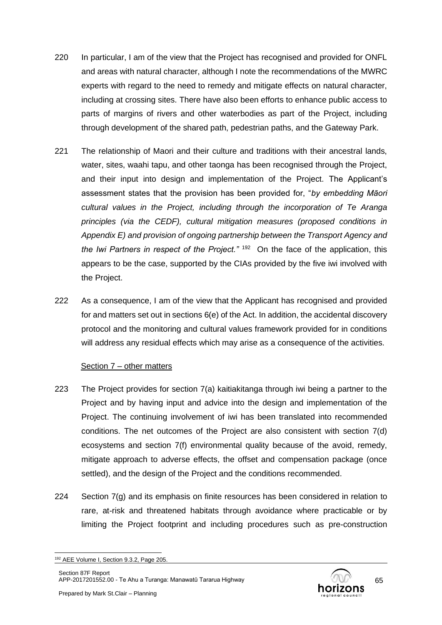- 220 In particular, I am of the view that the Project has recognised and provided for ONFL and areas with natural character, although I note the recommendations of the MWRC experts with regard to the need to remedy and mitigate effects on natural character, including at crossing sites. There have also been efforts to enhance public access to parts of margins of rivers and other waterbodies as part of the Project, including through development of the shared path, pedestrian paths, and the Gateway Park.
- 221 The relationship of Maori and their culture and traditions with their ancestral lands, water, sites, waahi tapu, and other taonga has been recognised through the Project, and their input into design and implementation of the Project. The Applicant's assessment states that the provision has been provided for, "*by embedding Māori cultural values in the Project, including through the incorporation of Te Aranga principles (via the CEDF), cultural mitigation measures (proposed conditions in Appendix E) and provision of ongoing partnership between the Transport Agency and the Iwi Partners in respect of the Project."* <sup>192</sup> On the face of the application, this appears to be the case, supported by the CIAs provided by the five iwi involved with the Project.
- 222 As a consequence, I am of the view that the Applicant has recognised and provided for and matters set out in sections 6(e) of the Act. In addition, the accidental discovery protocol and the monitoring and cultural values framework provided for in conditions will address any residual effects which may arise as a consequence of the activities.

#### Section 7 – other matters

- 223 The Project provides for section 7(a) kaitiakitanga through iwi being a partner to the Project and by having input and advice into the design and implementation of the Project. The continuing involvement of iwi has been translated into recommended conditions. The net outcomes of the Project are also consistent with section 7(d) ecosystems and section 7(f) environmental quality because of the avoid, remedy, mitigate approach to adverse effects, the offset and compensation package (once settled), and the design of the Project and the conditions recommended.
- 224 Section 7(g) and its emphasis on finite resources has been considered in relation to rare, at-risk and threatened habitats through avoidance where practicable or by limiting the Project footprint and including procedures such as pre-construction

<sup>192</sup> AEE Volume I, Section 9.3.2, Page 205.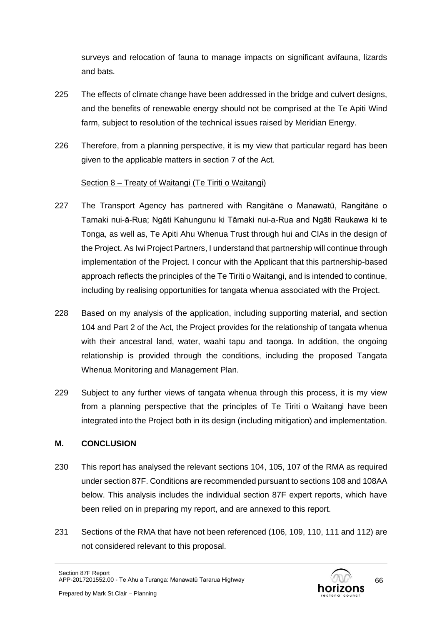surveys and relocation of fauna to manage impacts on significant avifauna, lizards and bats.

- 225 The effects of climate change have been addressed in the bridge and culvert designs, and the benefits of renewable energy should not be comprised at the Te Apiti Wind farm, subject to resolution of the technical issues raised by Meridian Energy.
- 226 Therefore, from a planning perspective, it is my view that particular regard has been given to the applicable matters in section 7 of the Act.

### Section 8 – Treaty of Waitangi (Te Tiriti o Waitangi)

- 227 The Transport Agency has partnered with Rangitāne o Manawatū, Rangitāne o Tamaki nui-ā-Rua; Ngāti Kahungunu ki Tāmaki nui-a-Rua and Ngāti Raukawa ki te Tonga, as well as, Te Apiti Ahu Whenua Trust through hui and CIAs in the design of the Project. As Iwi Project Partners, I understand that partnership will continue through implementation of the Project. I concur with the Applicant that this partnership-based approach reflects the principles of the Te Tiriti o Waitangi, and is intended to continue, including by realising opportunities for tangata whenua associated with the Project.
- 228 Based on my analysis of the application, including supporting material, and section 104 and Part 2 of the Act, the Project provides for the relationship of tangata whenua with their ancestral land, water, waahi tapu and taonga. In addition, the ongoing relationship is provided through the conditions, including the proposed Tangata Whenua Monitoring and Management Plan.
- 229 Subject to any further views of tangata whenua through this process, it is my view from a planning perspective that the principles of Te Tiriti o Waitangi have been integrated into the Project both in its design (including mitigation) and implementation.

### **M. CONCLUSION**

- 230 This report has analysed the relevant sections 104, 105, 107 of the RMA as required under section 87F. Conditions are recommended pursuant to sections 108 and 108AA below. This analysis includes the individual section 87F expert reports, which have been relied on in preparing my report, and are annexed to this report.
- 231 Sections of the RMA that have not been referenced (106, 109, 110, 111 and 112) are not considered relevant to this proposal.

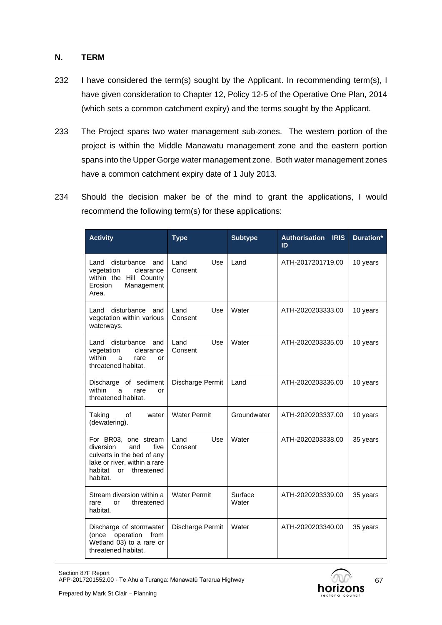### **N. TERM**

- 232 I have considered the term(s) sought by the Applicant. In recommending term(s), I have given consideration to Chapter 12, Policy 12-5 of the Operative One Plan, 2014 (which sets a common catchment expiry) and the terms sought by the Applicant.
- 233 The Project spans two water management sub-zones. The western portion of the project is within the Middle Manawatu management zone and the eastern portion spans into the Upper Gorge water management zone. Both water management zones have a common catchment expiry date of 1 July 2013.
- 234 Should the decision maker be of the mind to grant the applications, I would recommend the following term(s) for these applications:

| <b>Activity</b>                                                                                                                                           | <b>Type</b>            | <b>Subtype</b>   | <b>Authorisation IRIS</b><br>ID | Duration* |
|-----------------------------------------------------------------------------------------------------------------------------------------------------------|------------------------|------------------|---------------------------------|-----------|
| disturbance<br>Land<br>and<br>clearance<br>vegetation<br>within the Hill Country<br>Management<br>Erosion<br>Area.                                        | Land<br>Use<br>Consent | Land             | ATH-2017201719.00               | 10 years  |
| disturbance<br>Land<br>and<br>vegetation within various<br>waterways.                                                                                     | Use<br>Land<br>Consent | Water            | ATH-2020203333.00               | 10 years  |
| disturbance<br>Land<br>and<br>vegetation<br>clearance<br>within<br>rare<br>a<br>or<br>threatened habitat.                                                 | Land<br>Use<br>Consent | Water            | ATH-2020203335.00               | 10 years  |
| Discharge of sediment<br>within<br>a<br>rare<br>or<br>threatened habitat.                                                                                 | Discharge Permit       | Land             | ATH-2020203336.00               | 10 years  |
| Taking<br>of<br>water<br>(dewatering).                                                                                                                    | <b>Water Permit</b>    | Groundwater      | ATH-2020203337.00               | 10 years  |
| For BR03, one stream<br>diversion<br>and<br>five<br>culverts in the bed of any<br>lake or river, within a rare<br>habitat<br>threatened<br>or<br>habitat. | Use<br>Land<br>Consent | Water            | ATH-2020203338.00               | 35 years  |
| Stream diversion within a<br>threatened<br>rare<br>or<br>habitat.                                                                                         | <b>Water Permit</b>    | Surface<br>Water | ATH-2020203339.00               | 35 years  |
| Discharge of stormwater<br>operation<br>from<br>(once<br>Wetland 03) to a rare or<br>threatened habitat.                                                  | Discharge Permit       | Water            | ATH-2020203340.00               | 35 years  |

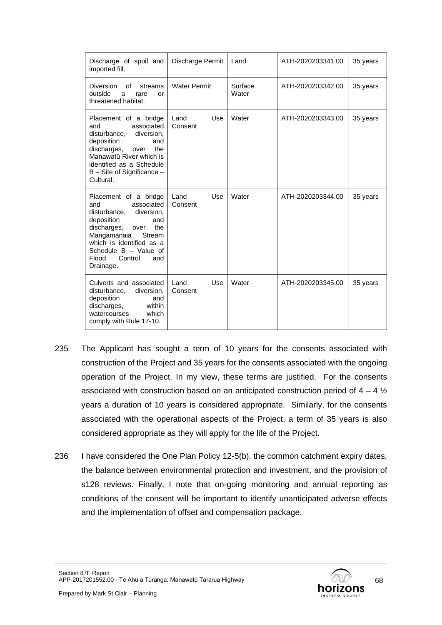| Discharge of spoil and<br>imported fill.                                                                                                                                                                                                       | Discharge Permit       | Land             | ATH-2020203341.00 | 35 years |
|------------------------------------------------------------------------------------------------------------------------------------------------------------------------------------------------------------------------------------------------|------------------------|------------------|-------------------|----------|
| <b>Diversion</b><br>Ωf<br>streams<br>outside<br>a<br>rare<br>or<br>threatened habitat.                                                                                                                                                         | <b>Water Permit</b>    | Surface<br>Water | ATH-2020203342.00 | 35 years |
| Placement of a bridge<br>associated<br>and<br>disturbance,<br>diversion,<br>deposition<br>and<br>discharges,<br>the<br>over<br>Manawatū River which is<br>identified as a Schedule<br>B - Site of Significance -<br>Cultural.                  | Land<br>Use<br>Consent | Water            | ATH-2020203343.00 | 35 years |
| Placement of a bridge<br>associated<br>and<br>disturbance, diversion,<br>deposition<br>and<br>the<br>discharges,<br>over<br>Mangamanaia<br>Stream<br>which is identified as a<br>Schedule B - Value of<br>Flood<br>Control<br>and<br>Drainage. | Use<br>Land<br>Consent | Water            | ATH-2020203344.00 | 35 years |
| Culverts and associated<br>diversion,<br>disturbance,<br>deposition<br>and<br>discharges,<br>within<br>watercourses<br>which<br>comply with Rule 17-10.                                                                                        | Land<br>Use<br>Consent | Water            | ATH-2020203345.00 | 35 years |

- 235 The Applicant has sought a term of 10 years for the consents associated with construction of the Project and 35 years for the consents associated with the ongoing operation of the Project. In my view, these terms are justified. For the consents associated with construction based on an anticipated construction period of  $4 - 4\frac{1}{2}$ years a duration of 10 years is considered appropriate. Similarly, for the consents associated with the operational aspects of the Project, a term of 35 years is also considered appropriate as they will apply for the life of the Project.
- 236 I have considered the One Plan Policy 12-5(b), the common catchment expiry dates, the balance between environmental protection and investment, and the provision of s128 reviews. Finally, I note that on-going monitoring and annual reporting as conditions of the consent will be important to identify unanticipated adverse effects and the implementation of offset and compensation package.

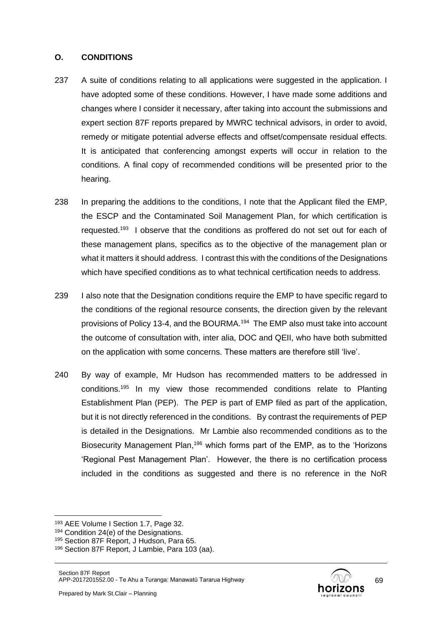### **O. CONDITIONS**

- 237 A suite of conditions relating to all applications were suggested in the application. I have adopted some of these conditions. However, I have made some additions and changes where I consider it necessary, after taking into account the submissions and expert section 87F reports prepared by MWRC technical advisors, in order to avoid, remedy or mitigate potential adverse effects and offset/compensate residual effects. It is anticipated that conferencing amongst experts will occur in relation to the conditions. A final copy of recommended conditions will be presented prior to the hearing.
- 238 In preparing the additions to the conditions, I note that the Applicant filed the EMP, the ESCP and the Contaminated Soil Management Plan, for which certification is requested.<sup>193</sup> I observe that the conditions as proffered do not set out for each of these management plans, specifics as to the objective of the management plan or what it matters it should address. I contrast this with the conditions of the Designations which have specified conditions as to what technical certification needs to address.
- 239 I also note that the Designation conditions require the EMP to have specific regard to the conditions of the regional resource consents, the direction given by the relevant provisions of Policy 13-4, and the BOURMA.<sup>194</sup> The EMP also must take into account the outcome of consultation with, inter alia, DOC and QEII, who have both submitted on the application with some concerns. These matters are therefore still 'live'.
- 240 By way of example, Mr Hudson has recommended matters to be addressed in conditions. <sup>195</sup> In my view those recommended conditions relate to Planting Establishment Plan (PEP). The PEP is part of EMP filed as part of the application, but it is not directly referenced in the conditions. By contrast the requirements of PEP is detailed in the Designations. Mr Lambie also recommended conditions as to the Biosecurity Management Plan, <sup>196</sup> which forms part of the EMP, as to the 'Horizons 'Regional Pest Management Plan'. However, the there is no certification process included in the conditions as suggested and there is no reference in the NoR

<sup>193</sup> AEE Volume I Section 1.7, Page 32.

<sup>194</sup> Condition 24(e) of the Designations.

<sup>195</sup> Section 87F Report, J Hudson, Para 65.

<sup>196</sup> Section 87F Report, J Lambie, Para 103 (aa).